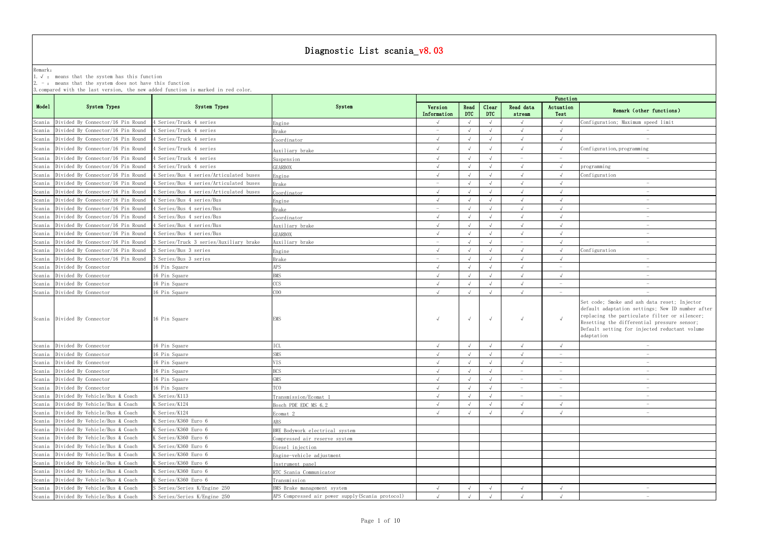Remark: The contract of the contract of  $\mathbb{R}$  and  $\mathbb{R}$  are contract of  $\mathbb{R}$  and  $\mathbb{R}$  are contract of  $\mathbb{R}$  and  $\mathbb{R}$  are contract of  $\mathbb{R}$  and  $\mathbb{R}$  are contract of  $\mathbb{R}$  and  $\mathbb{R}$  are cont 1.√ : means that the system has this function

2. - : means that the system does not have this function

| Function                             |                                                                                                                                                                                                                                                                 |
|--------------------------------------|-----------------------------------------------------------------------------------------------------------------------------------------------------------------------------------------------------------------------------------------------------------------|
| Actuation<br>Test                    | Remark (other functions)                                                                                                                                                                                                                                        |
| $\sqrt{ }$                           | Configuration; Maximum speed limit                                                                                                                                                                                                                              |
| $\sqrt{}$                            | $\overline{\phantom{0}}$                                                                                                                                                                                                                                        |
| $\sqrt{ }$                           |                                                                                                                                                                                                                                                                 |
| $\checkmark$                         | Configuration, programming                                                                                                                                                                                                                                      |
| $\overline{a}$                       |                                                                                                                                                                                                                                                                 |
| $\sqrt{ }$                           | programming                                                                                                                                                                                                                                                     |
| $\sqrt{ }$                           | Configuration                                                                                                                                                                                                                                                   |
| $\sqrt{}$                            | $\overline{a}$                                                                                                                                                                                                                                                  |
| $\sqrt{ }$                           | $\overline{\phantom{0}}$                                                                                                                                                                                                                                        |
| $\sqrt{ }$                           | $\qquad \qquad -$                                                                                                                                                                                                                                               |
| $\sqrt{ }$                           |                                                                                                                                                                                                                                                                 |
| $\checkmark$                         | $\overline{\phantom{0}}$<br>$\overline{a}$                                                                                                                                                                                                                      |
| $\sqrt{}$                            |                                                                                                                                                                                                                                                                 |
| $\checkmark$<br>$\sqrt{\phantom{a}}$ |                                                                                                                                                                                                                                                                 |
| $\sqrt{}$                            | Configuration                                                                                                                                                                                                                                                   |
| $\sqrt{}$                            |                                                                                                                                                                                                                                                                 |
| $\bar{ }$                            |                                                                                                                                                                                                                                                                 |
| $\sqrt{ }$                           |                                                                                                                                                                                                                                                                 |
| $\equiv$                             | -                                                                                                                                                                                                                                                               |
| $\qquad \qquad -$                    | $\overline{a}$                                                                                                                                                                                                                                                  |
| $\sqrt{ }$                           | Set code; Smoke and ash data reset; Injector<br>default adaptation settings; New ID number after<br>replacing the particulate filter or silencer;<br>Resetting the differential pressure sensor;<br>Default setting for injected reductant volume<br>adaptation |
| $\sqrt{}$                            | $\overline{\phantom{0}}$                                                                                                                                                                                                                                        |
| $\overline{a}$                       | $\overline{a}$                                                                                                                                                                                                                                                  |
| $\overline{\phantom{0}}$             | $\frac{1}{2}$                                                                                                                                                                                                                                                   |
| $\equiv$                             | $\overline{a}$                                                                                                                                                                                                                                                  |
| $\frac{1}{\sqrt{2}}$                 | -                                                                                                                                                                                                                                                               |
| $\bar{\mathcal{L}}$                  | $\overline{\phantom{0}}$                                                                                                                                                                                                                                        |
| $\bar{ }$                            | $\equiv$                                                                                                                                                                                                                                                        |
| $\sqrt{}$                            | $\overline{\phantom{0}}$                                                                                                                                                                                                                                        |
| $\sqrt{ }$                           | $\overline{\phantom{0}}$                                                                                                                                                                                                                                        |
|                                      |                                                                                                                                                                                                                                                                 |
|                                      |                                                                                                                                                                                                                                                                 |
|                                      |                                                                                                                                                                                                                                                                 |
|                                      |                                                                                                                                                                                                                                                                 |
|                                      |                                                                                                                                                                                                                                                                 |
|                                      |                                                                                                                                                                                                                                                                 |
|                                      |                                                                                                                                                                                                                                                                 |
| $\sqrt{}$                            | $\equiv$                                                                                                                                                                                                                                                        |
| $\sqrt{}$                            | $\overline{a}$                                                                                                                                                                                                                                                  |

| System Types<br>System Types<br>System<br>Read<br>Read data<br>Version<br>Clear<br>Actuation<br>Remark (other functions)<br><b>DTC</b><br><b>DTC</b><br>Information<br>Test<br>stream<br>Divided By Connector/16 Pin Round<br>4 Series/Truck 4 series<br>Configuration; Maximum speed limit<br>Engine<br>$\sqrt{ }$<br>Divided By Connector/16 Pin Round<br>4 Series/Truck 4 series<br>Brake<br>Divided By Connector/16 Pin Round<br>$\sqrt{ }$<br>$\sqrt{ }$<br>4 Series/Truck 4 series<br>$\sqrt{ }$<br>Coordinator<br>$\hspace{0.1mm}-\hspace{0.1mm}$<br>Divided By Connector/16 Pin Round<br>4 Series/Truck 4 series<br>$\sqrt{ }$<br>$\sqrt{ }$<br>Configuration, programming<br>$\sqrt{ }$<br>Auxiliary brake<br>Divided By Connector/16 Pin Round<br>4 Series/Truck 4 series<br>$\sqrt{ }$<br>Suspension<br>$ \,$<br>$\hspace{0.1mm}-\hspace{0.1mm}$<br>$\hspace{0.1mm}-\hspace{0.1mm}$<br>Divided By Connector/16 Pin Round<br>4 Series/Truck 4 series<br>$\sqrt{ }$<br>$\sqrt{ }$<br>programming<br><b>GEARBOX</b><br>Divided By Connector/16 Pin Round<br>4 Series/Bus 4 series/Articulated buses<br>$\sqrt{ }$<br>$\sqrt{ }$<br>Configuration<br>Engine<br>Divided By Connector/16 Pin Round<br>4 Series/Bus 4 series/Articulated buses<br>Brake<br>Divided By Connector/16 Pin Round<br>4 Series/Bus 4 series/Articulated buses<br>$\sqrt{ }$<br>Coordinator<br>Divided By Connector/16 Pin Round<br>4 Series/Bus 4 series/Bus<br>Engine<br>$\hspace{0.1mm}-\hspace{0.1mm}$<br>Divided By Connector/16 Pin Round<br>4 Series/Bus 4 series/Bus<br>$\sqrt{ }$<br>$\sqrt{ }$<br>Brake<br>$\hspace{0.1mm}-\hspace{0.1mm}$<br>Divided By Connector/16 Pin Round<br>4 Series/Bus 4 series/Bus<br>$\sqrt{ }$<br>Coordinator<br>Divided By Connector/16 Pin Round<br>$\sqrt{ }$<br>4 Series/Bus 4 series/Bus<br>Auxiliary brake<br>Divided By Connector/16 Pin Round<br>4 Series/Bus 4 series/Bus<br><b>GEARBOX</b><br>Divided By Connector/16 Pin Round<br>3 Series/Truck 3 series/Auxiliary brake<br>Auxiliary brake<br>Divided By Connector/16 Pin Round<br>3 Series/Bus 3 series<br>$\sqrt{ }$<br>$\sqrt{ }$<br>Configuration<br>$\sqrt{ }$<br>Engine<br>Divided By Connector/16 Pin Round<br>3 Series/Bus 3 series<br>$\sqrt{ }$<br>$\sqrt{ }$<br>Brake<br>$\hspace{0.1mm}-\hspace{0.1mm}$<br>APS<br>Divided By Connector<br>16 Pin Square<br>16 Pin Square<br>BMS<br>$\sqrt{2}$<br>$\sqrt{ }$<br>Divided By Connector<br>$\sqrt{ }$<br>16 Pin Square<br>CCS<br>Divided By Connector<br>$\sqrt{ }$<br>C O O<br>Scania Divided By Connector<br>16 Pin Square<br>$\sqrt{ }$<br>$\equiv$<br>Set code; Smoke and ash data reset; Injector<br>default adaptation settings; New ID number after<br>replacing the particulate filter or silencer;<br>Scania Divided By Connector<br>16 Pin Square<br>EMS<br>$\sqrt{ }$<br>$\sqrt{ }$<br>Resetting the differential pressure sensor;<br>Default setting for injected reductant volume<br>adaptation<br>ICL<br>Divided By Connector<br>16 Pin Square<br>SMS<br>16 Pin Square<br>Divided By Connector<br>$\sqrt{ }$<br>$\sqrt{ }$<br>$\hspace{0.1mm}-\hspace{0.1mm}$<br>$\hspace{0.1mm}-\hspace{0.1mm}$<br>Divided By Connector<br>16 Pin Square<br>VIS.<br>$\sqrt{ }$<br>$\hspace{0.1mm}-\hspace{0.1mm}$<br>BCS<br>Divided By Connector<br>16 Pin Square<br>$\overline{\phantom{m}}$<br>$\hspace{0.1mm}-\hspace{0.1mm}$<br>Scania Divided By Connector<br>16 Pin Square<br>GMS<br>TCO<br>Scania Divided By Connector<br>16 Pin Square<br>$\sqrt{ }$<br>$\overline{\phantom{a}}$<br>$\hspace{0.1mm}-\hspace{0.1mm}$<br>Divided By Vehicle/Bus & Coach<br>K Series/K113<br>$\sqrt{ }$<br>Transmission/Ecomat 1<br>$\equiv$<br>$\equiv$<br>$\hspace{0.1mm}-\hspace{0.1mm}$<br>Scania Divided By Vehicle/Bus & Coach<br>K Series/K124<br>$\sqrt{ }$<br>$\sqrt{ }$<br>Bosch PDE EDC MS 6.2<br>Divided By Vehicle/Bus & Coach<br>K Series/K124<br>$\sqrt{ }$<br>$\sqrt{ }$<br>Ecomat 2<br>Divided By Vehicle/Bus & Coach<br>K Series/K360 Euro 6<br>ABS<br>Divided By Vehicle/Bus & Coach<br>K Series/K360 Euro 6<br>BWE Bodywork electrical system<br>Divided By Vehicle/Bus & Coach<br>K Series/K360 Euro 6<br>Compressed air reserve system<br>Divided By Vehicle/Bus & Coach<br>K Series/K360 Euro 6<br>Diesel injection<br>Divided By Vehicle/Bus & Coach<br>K Series/K360 Euro 6<br>Engine-vehicle adjustment<br>Scania Divided By Vehicle/Bus & Coach<br>K Series/K360 Euro 6<br>Instrument panel<br>Scania Divided By Vehicle/Bus & Coach<br>K Series/K360 Euro 6<br>RTC Scania Communicator<br>Divided By Vehicle/Bus & Coach<br>K Series/K360 Euro 6<br>Transmission<br>Divided By Vehicle/Bus & Coach<br>S Series/Series K/Engine 250<br>BMS Brake management system<br>$\sqrt{ }$<br>$\sqrt{ }$<br>$\equiv$<br>APS Compressed air power supply (Scania protocol)<br>Scania Divided By Vehicle/Bus & Coach<br>S Series/Series K/Engine 250 |        |  |  |  | Function |  |
|-------------------------------------------------------------------------------------------------------------------------------------------------------------------------------------------------------------------------------------------------------------------------------------------------------------------------------------------------------------------------------------------------------------------------------------------------------------------------------------------------------------------------------------------------------------------------------------------------------------------------------------------------------------------------------------------------------------------------------------------------------------------------------------------------------------------------------------------------------------------------------------------------------------------------------------------------------------------------------------------------------------------------------------------------------------------------------------------------------------------------------------------------------------------------------------------------------------------------------------------------------------------------------------------------------------------------------------------------------------------------------------------------------------------------------------------------------------------------------------------------------------------------------------------------------------------------------------------------------------------------------------------------------------------------------------------------------------------------------------------------------------------------------------------------------------------------------------------------------------------------------------------------------------------------------------------------------------------------------------------------------------------------------------------------------------------------------------------------------------------------------------------------------------------------------------------------------------------------------------------------------------------------------------------------------------------------------------------------------------------------------------------------------------------------------------------------------------------------------------------------------------------------------------------------------------------------------------------------------------------------------------------------------------------------------------------------------------------------------------------------------------------------------------------------------------------------------------------------------------------------------------------------------------------------------------------------------------------------------------------------------------------------------------------------------------------------------------------------------------------------------------------------------------------------------------------------------------------------------------------------------------------------------------------------------------------------------------------------------------------------------------------------------------------------------------------------------------------------------------------------------------------------------------------------------------------------------------------------------------------------------------------------------------------------------------------------------------------------------------------------------------------------------------------------------------------------------------------------------------------------------------------------------------------------------------------------------------------------------------------------------------------------------------------------------------------------------------------------------------------------------------------------------------------------------------------------------------------------------------------------------------------------------------------------------------------------------------------------------------------------------------------------------------------------------------------------------------------------------------------------------------------------------------------------------------------------------------------------------------------------------------------------------------------------------------------------------------------------------------------------------------------------------------------------------------------------------------------------------------------------------------------------|--------|--|--|--|----------|--|
|                                                                                                                                                                                                                                                                                                                                                                                                                                                                                                                                                                                                                                                                                                                                                                                                                                                                                                                                                                                                                                                                                                                                                                                                                                                                                                                                                                                                                                                                                                                                                                                                                                                                                                                                                                                                                                                                                                                                                                                                                                                                                                                                                                                                                                                                                                                                                                                                                                                                                                                                                                                                                                                                                                                                                                                                                                                                                                                                                                                                                                                                                                                                                                                                                                                                                                                                                                                                                                                                                                                                                                                                                                                                                                                                                                                                                                                                                                                                                                                                                                                                                                                                                                                                                                                                                                                                                                                                                                                                                                                                                                                                                                                                                                                                                                                                                                                                                                 | Model  |  |  |  |          |  |
|                                                                                                                                                                                                                                                                                                                                                                                                                                                                                                                                                                                                                                                                                                                                                                                                                                                                                                                                                                                                                                                                                                                                                                                                                                                                                                                                                                                                                                                                                                                                                                                                                                                                                                                                                                                                                                                                                                                                                                                                                                                                                                                                                                                                                                                                                                                                                                                                                                                                                                                                                                                                                                                                                                                                                                                                                                                                                                                                                                                                                                                                                                                                                                                                                                                                                                                                                                                                                                                                                                                                                                                                                                                                                                                                                                                                                                                                                                                                                                                                                                                                                                                                                                                                                                                                                                                                                                                                                                                                                                                                                                                                                                                                                                                                                                                                                                                                                                 | Scania |  |  |  |          |  |
|                                                                                                                                                                                                                                                                                                                                                                                                                                                                                                                                                                                                                                                                                                                                                                                                                                                                                                                                                                                                                                                                                                                                                                                                                                                                                                                                                                                                                                                                                                                                                                                                                                                                                                                                                                                                                                                                                                                                                                                                                                                                                                                                                                                                                                                                                                                                                                                                                                                                                                                                                                                                                                                                                                                                                                                                                                                                                                                                                                                                                                                                                                                                                                                                                                                                                                                                                                                                                                                                                                                                                                                                                                                                                                                                                                                                                                                                                                                                                                                                                                                                                                                                                                                                                                                                                                                                                                                                                                                                                                                                                                                                                                                                                                                                                                                                                                                                                                 | Scania |  |  |  |          |  |
|                                                                                                                                                                                                                                                                                                                                                                                                                                                                                                                                                                                                                                                                                                                                                                                                                                                                                                                                                                                                                                                                                                                                                                                                                                                                                                                                                                                                                                                                                                                                                                                                                                                                                                                                                                                                                                                                                                                                                                                                                                                                                                                                                                                                                                                                                                                                                                                                                                                                                                                                                                                                                                                                                                                                                                                                                                                                                                                                                                                                                                                                                                                                                                                                                                                                                                                                                                                                                                                                                                                                                                                                                                                                                                                                                                                                                                                                                                                                                                                                                                                                                                                                                                                                                                                                                                                                                                                                                                                                                                                                                                                                                                                                                                                                                                                                                                                                                                 | Scania |  |  |  |          |  |
|                                                                                                                                                                                                                                                                                                                                                                                                                                                                                                                                                                                                                                                                                                                                                                                                                                                                                                                                                                                                                                                                                                                                                                                                                                                                                                                                                                                                                                                                                                                                                                                                                                                                                                                                                                                                                                                                                                                                                                                                                                                                                                                                                                                                                                                                                                                                                                                                                                                                                                                                                                                                                                                                                                                                                                                                                                                                                                                                                                                                                                                                                                                                                                                                                                                                                                                                                                                                                                                                                                                                                                                                                                                                                                                                                                                                                                                                                                                                                                                                                                                                                                                                                                                                                                                                                                                                                                                                                                                                                                                                                                                                                                                                                                                                                                                                                                                                                                 | Scania |  |  |  |          |  |
|                                                                                                                                                                                                                                                                                                                                                                                                                                                                                                                                                                                                                                                                                                                                                                                                                                                                                                                                                                                                                                                                                                                                                                                                                                                                                                                                                                                                                                                                                                                                                                                                                                                                                                                                                                                                                                                                                                                                                                                                                                                                                                                                                                                                                                                                                                                                                                                                                                                                                                                                                                                                                                                                                                                                                                                                                                                                                                                                                                                                                                                                                                                                                                                                                                                                                                                                                                                                                                                                                                                                                                                                                                                                                                                                                                                                                                                                                                                                                                                                                                                                                                                                                                                                                                                                                                                                                                                                                                                                                                                                                                                                                                                                                                                                                                                                                                                                                                 | Scania |  |  |  |          |  |
|                                                                                                                                                                                                                                                                                                                                                                                                                                                                                                                                                                                                                                                                                                                                                                                                                                                                                                                                                                                                                                                                                                                                                                                                                                                                                                                                                                                                                                                                                                                                                                                                                                                                                                                                                                                                                                                                                                                                                                                                                                                                                                                                                                                                                                                                                                                                                                                                                                                                                                                                                                                                                                                                                                                                                                                                                                                                                                                                                                                                                                                                                                                                                                                                                                                                                                                                                                                                                                                                                                                                                                                                                                                                                                                                                                                                                                                                                                                                                                                                                                                                                                                                                                                                                                                                                                                                                                                                                                                                                                                                                                                                                                                                                                                                                                                                                                                                                                 | Scania |  |  |  |          |  |
|                                                                                                                                                                                                                                                                                                                                                                                                                                                                                                                                                                                                                                                                                                                                                                                                                                                                                                                                                                                                                                                                                                                                                                                                                                                                                                                                                                                                                                                                                                                                                                                                                                                                                                                                                                                                                                                                                                                                                                                                                                                                                                                                                                                                                                                                                                                                                                                                                                                                                                                                                                                                                                                                                                                                                                                                                                                                                                                                                                                                                                                                                                                                                                                                                                                                                                                                                                                                                                                                                                                                                                                                                                                                                                                                                                                                                                                                                                                                                                                                                                                                                                                                                                                                                                                                                                                                                                                                                                                                                                                                                                                                                                                                                                                                                                                                                                                                                                 | Scania |  |  |  |          |  |
|                                                                                                                                                                                                                                                                                                                                                                                                                                                                                                                                                                                                                                                                                                                                                                                                                                                                                                                                                                                                                                                                                                                                                                                                                                                                                                                                                                                                                                                                                                                                                                                                                                                                                                                                                                                                                                                                                                                                                                                                                                                                                                                                                                                                                                                                                                                                                                                                                                                                                                                                                                                                                                                                                                                                                                                                                                                                                                                                                                                                                                                                                                                                                                                                                                                                                                                                                                                                                                                                                                                                                                                                                                                                                                                                                                                                                                                                                                                                                                                                                                                                                                                                                                                                                                                                                                                                                                                                                                                                                                                                                                                                                                                                                                                                                                                                                                                                                                 | Scania |  |  |  |          |  |
|                                                                                                                                                                                                                                                                                                                                                                                                                                                                                                                                                                                                                                                                                                                                                                                                                                                                                                                                                                                                                                                                                                                                                                                                                                                                                                                                                                                                                                                                                                                                                                                                                                                                                                                                                                                                                                                                                                                                                                                                                                                                                                                                                                                                                                                                                                                                                                                                                                                                                                                                                                                                                                                                                                                                                                                                                                                                                                                                                                                                                                                                                                                                                                                                                                                                                                                                                                                                                                                                                                                                                                                                                                                                                                                                                                                                                                                                                                                                                                                                                                                                                                                                                                                                                                                                                                                                                                                                                                                                                                                                                                                                                                                                                                                                                                                                                                                                                                 | Scania |  |  |  |          |  |
|                                                                                                                                                                                                                                                                                                                                                                                                                                                                                                                                                                                                                                                                                                                                                                                                                                                                                                                                                                                                                                                                                                                                                                                                                                                                                                                                                                                                                                                                                                                                                                                                                                                                                                                                                                                                                                                                                                                                                                                                                                                                                                                                                                                                                                                                                                                                                                                                                                                                                                                                                                                                                                                                                                                                                                                                                                                                                                                                                                                                                                                                                                                                                                                                                                                                                                                                                                                                                                                                                                                                                                                                                                                                                                                                                                                                                                                                                                                                                                                                                                                                                                                                                                                                                                                                                                                                                                                                                                                                                                                                                                                                                                                                                                                                                                                                                                                                                                 | Scania |  |  |  |          |  |
|                                                                                                                                                                                                                                                                                                                                                                                                                                                                                                                                                                                                                                                                                                                                                                                                                                                                                                                                                                                                                                                                                                                                                                                                                                                                                                                                                                                                                                                                                                                                                                                                                                                                                                                                                                                                                                                                                                                                                                                                                                                                                                                                                                                                                                                                                                                                                                                                                                                                                                                                                                                                                                                                                                                                                                                                                                                                                                                                                                                                                                                                                                                                                                                                                                                                                                                                                                                                                                                                                                                                                                                                                                                                                                                                                                                                                                                                                                                                                                                                                                                                                                                                                                                                                                                                                                                                                                                                                                                                                                                                                                                                                                                                                                                                                                                                                                                                                                 | Scania |  |  |  |          |  |
|                                                                                                                                                                                                                                                                                                                                                                                                                                                                                                                                                                                                                                                                                                                                                                                                                                                                                                                                                                                                                                                                                                                                                                                                                                                                                                                                                                                                                                                                                                                                                                                                                                                                                                                                                                                                                                                                                                                                                                                                                                                                                                                                                                                                                                                                                                                                                                                                                                                                                                                                                                                                                                                                                                                                                                                                                                                                                                                                                                                                                                                                                                                                                                                                                                                                                                                                                                                                                                                                                                                                                                                                                                                                                                                                                                                                                                                                                                                                                                                                                                                                                                                                                                                                                                                                                                                                                                                                                                                                                                                                                                                                                                                                                                                                                                                                                                                                                                 | Scania |  |  |  |          |  |
|                                                                                                                                                                                                                                                                                                                                                                                                                                                                                                                                                                                                                                                                                                                                                                                                                                                                                                                                                                                                                                                                                                                                                                                                                                                                                                                                                                                                                                                                                                                                                                                                                                                                                                                                                                                                                                                                                                                                                                                                                                                                                                                                                                                                                                                                                                                                                                                                                                                                                                                                                                                                                                                                                                                                                                                                                                                                                                                                                                                                                                                                                                                                                                                                                                                                                                                                                                                                                                                                                                                                                                                                                                                                                                                                                                                                                                                                                                                                                                                                                                                                                                                                                                                                                                                                                                                                                                                                                                                                                                                                                                                                                                                                                                                                                                                                                                                                                                 | Scania |  |  |  |          |  |
|                                                                                                                                                                                                                                                                                                                                                                                                                                                                                                                                                                                                                                                                                                                                                                                                                                                                                                                                                                                                                                                                                                                                                                                                                                                                                                                                                                                                                                                                                                                                                                                                                                                                                                                                                                                                                                                                                                                                                                                                                                                                                                                                                                                                                                                                                                                                                                                                                                                                                                                                                                                                                                                                                                                                                                                                                                                                                                                                                                                                                                                                                                                                                                                                                                                                                                                                                                                                                                                                                                                                                                                                                                                                                                                                                                                                                                                                                                                                                                                                                                                                                                                                                                                                                                                                                                                                                                                                                                                                                                                                                                                                                                                                                                                                                                                                                                                                                                 | Scania |  |  |  |          |  |
|                                                                                                                                                                                                                                                                                                                                                                                                                                                                                                                                                                                                                                                                                                                                                                                                                                                                                                                                                                                                                                                                                                                                                                                                                                                                                                                                                                                                                                                                                                                                                                                                                                                                                                                                                                                                                                                                                                                                                                                                                                                                                                                                                                                                                                                                                                                                                                                                                                                                                                                                                                                                                                                                                                                                                                                                                                                                                                                                                                                                                                                                                                                                                                                                                                                                                                                                                                                                                                                                                                                                                                                                                                                                                                                                                                                                                                                                                                                                                                                                                                                                                                                                                                                                                                                                                                                                                                                                                                                                                                                                                                                                                                                                                                                                                                                                                                                                                                 | Scania |  |  |  |          |  |
|                                                                                                                                                                                                                                                                                                                                                                                                                                                                                                                                                                                                                                                                                                                                                                                                                                                                                                                                                                                                                                                                                                                                                                                                                                                                                                                                                                                                                                                                                                                                                                                                                                                                                                                                                                                                                                                                                                                                                                                                                                                                                                                                                                                                                                                                                                                                                                                                                                                                                                                                                                                                                                                                                                                                                                                                                                                                                                                                                                                                                                                                                                                                                                                                                                                                                                                                                                                                                                                                                                                                                                                                                                                                                                                                                                                                                                                                                                                                                                                                                                                                                                                                                                                                                                                                                                                                                                                                                                                                                                                                                                                                                                                                                                                                                                                                                                                                                                 | Scania |  |  |  |          |  |
|                                                                                                                                                                                                                                                                                                                                                                                                                                                                                                                                                                                                                                                                                                                                                                                                                                                                                                                                                                                                                                                                                                                                                                                                                                                                                                                                                                                                                                                                                                                                                                                                                                                                                                                                                                                                                                                                                                                                                                                                                                                                                                                                                                                                                                                                                                                                                                                                                                                                                                                                                                                                                                                                                                                                                                                                                                                                                                                                                                                                                                                                                                                                                                                                                                                                                                                                                                                                                                                                                                                                                                                                                                                                                                                                                                                                                                                                                                                                                                                                                                                                                                                                                                                                                                                                                                                                                                                                                                                                                                                                                                                                                                                                                                                                                                                                                                                                                                 | Scania |  |  |  |          |  |
|                                                                                                                                                                                                                                                                                                                                                                                                                                                                                                                                                                                                                                                                                                                                                                                                                                                                                                                                                                                                                                                                                                                                                                                                                                                                                                                                                                                                                                                                                                                                                                                                                                                                                                                                                                                                                                                                                                                                                                                                                                                                                                                                                                                                                                                                                                                                                                                                                                                                                                                                                                                                                                                                                                                                                                                                                                                                                                                                                                                                                                                                                                                                                                                                                                                                                                                                                                                                                                                                                                                                                                                                                                                                                                                                                                                                                                                                                                                                                                                                                                                                                                                                                                                                                                                                                                                                                                                                                                                                                                                                                                                                                                                                                                                                                                                                                                                                                                 | Scania |  |  |  |          |  |
|                                                                                                                                                                                                                                                                                                                                                                                                                                                                                                                                                                                                                                                                                                                                                                                                                                                                                                                                                                                                                                                                                                                                                                                                                                                                                                                                                                                                                                                                                                                                                                                                                                                                                                                                                                                                                                                                                                                                                                                                                                                                                                                                                                                                                                                                                                                                                                                                                                                                                                                                                                                                                                                                                                                                                                                                                                                                                                                                                                                                                                                                                                                                                                                                                                                                                                                                                                                                                                                                                                                                                                                                                                                                                                                                                                                                                                                                                                                                                                                                                                                                                                                                                                                                                                                                                                                                                                                                                                                                                                                                                                                                                                                                                                                                                                                                                                                                                                 | Scania |  |  |  |          |  |
|                                                                                                                                                                                                                                                                                                                                                                                                                                                                                                                                                                                                                                                                                                                                                                                                                                                                                                                                                                                                                                                                                                                                                                                                                                                                                                                                                                                                                                                                                                                                                                                                                                                                                                                                                                                                                                                                                                                                                                                                                                                                                                                                                                                                                                                                                                                                                                                                                                                                                                                                                                                                                                                                                                                                                                                                                                                                                                                                                                                                                                                                                                                                                                                                                                                                                                                                                                                                                                                                                                                                                                                                                                                                                                                                                                                                                                                                                                                                                                                                                                                                                                                                                                                                                                                                                                                                                                                                                                                                                                                                                                                                                                                                                                                                                                                                                                                                                                 | Scania |  |  |  |          |  |
|                                                                                                                                                                                                                                                                                                                                                                                                                                                                                                                                                                                                                                                                                                                                                                                                                                                                                                                                                                                                                                                                                                                                                                                                                                                                                                                                                                                                                                                                                                                                                                                                                                                                                                                                                                                                                                                                                                                                                                                                                                                                                                                                                                                                                                                                                                                                                                                                                                                                                                                                                                                                                                                                                                                                                                                                                                                                                                                                                                                                                                                                                                                                                                                                                                                                                                                                                                                                                                                                                                                                                                                                                                                                                                                                                                                                                                                                                                                                                                                                                                                                                                                                                                                                                                                                                                                                                                                                                                                                                                                                                                                                                                                                                                                                                                                                                                                                                                 |        |  |  |  |          |  |
|                                                                                                                                                                                                                                                                                                                                                                                                                                                                                                                                                                                                                                                                                                                                                                                                                                                                                                                                                                                                                                                                                                                                                                                                                                                                                                                                                                                                                                                                                                                                                                                                                                                                                                                                                                                                                                                                                                                                                                                                                                                                                                                                                                                                                                                                                                                                                                                                                                                                                                                                                                                                                                                                                                                                                                                                                                                                                                                                                                                                                                                                                                                                                                                                                                                                                                                                                                                                                                                                                                                                                                                                                                                                                                                                                                                                                                                                                                                                                                                                                                                                                                                                                                                                                                                                                                                                                                                                                                                                                                                                                                                                                                                                                                                                                                                                                                                                                                 |        |  |  |  |          |  |
|                                                                                                                                                                                                                                                                                                                                                                                                                                                                                                                                                                                                                                                                                                                                                                                                                                                                                                                                                                                                                                                                                                                                                                                                                                                                                                                                                                                                                                                                                                                                                                                                                                                                                                                                                                                                                                                                                                                                                                                                                                                                                                                                                                                                                                                                                                                                                                                                                                                                                                                                                                                                                                                                                                                                                                                                                                                                                                                                                                                                                                                                                                                                                                                                                                                                                                                                                                                                                                                                                                                                                                                                                                                                                                                                                                                                                                                                                                                                                                                                                                                                                                                                                                                                                                                                                                                                                                                                                                                                                                                                                                                                                                                                                                                                                                                                                                                                                                 | Scania |  |  |  |          |  |
|                                                                                                                                                                                                                                                                                                                                                                                                                                                                                                                                                                                                                                                                                                                                                                                                                                                                                                                                                                                                                                                                                                                                                                                                                                                                                                                                                                                                                                                                                                                                                                                                                                                                                                                                                                                                                                                                                                                                                                                                                                                                                                                                                                                                                                                                                                                                                                                                                                                                                                                                                                                                                                                                                                                                                                                                                                                                                                                                                                                                                                                                                                                                                                                                                                                                                                                                                                                                                                                                                                                                                                                                                                                                                                                                                                                                                                                                                                                                                                                                                                                                                                                                                                                                                                                                                                                                                                                                                                                                                                                                                                                                                                                                                                                                                                                                                                                                                                 | Scania |  |  |  |          |  |
|                                                                                                                                                                                                                                                                                                                                                                                                                                                                                                                                                                                                                                                                                                                                                                                                                                                                                                                                                                                                                                                                                                                                                                                                                                                                                                                                                                                                                                                                                                                                                                                                                                                                                                                                                                                                                                                                                                                                                                                                                                                                                                                                                                                                                                                                                                                                                                                                                                                                                                                                                                                                                                                                                                                                                                                                                                                                                                                                                                                                                                                                                                                                                                                                                                                                                                                                                                                                                                                                                                                                                                                                                                                                                                                                                                                                                                                                                                                                                                                                                                                                                                                                                                                                                                                                                                                                                                                                                                                                                                                                                                                                                                                                                                                                                                                                                                                                                                 | Scania |  |  |  |          |  |
|                                                                                                                                                                                                                                                                                                                                                                                                                                                                                                                                                                                                                                                                                                                                                                                                                                                                                                                                                                                                                                                                                                                                                                                                                                                                                                                                                                                                                                                                                                                                                                                                                                                                                                                                                                                                                                                                                                                                                                                                                                                                                                                                                                                                                                                                                                                                                                                                                                                                                                                                                                                                                                                                                                                                                                                                                                                                                                                                                                                                                                                                                                                                                                                                                                                                                                                                                                                                                                                                                                                                                                                                                                                                                                                                                                                                                                                                                                                                                                                                                                                                                                                                                                                                                                                                                                                                                                                                                                                                                                                                                                                                                                                                                                                                                                                                                                                                                                 | Scania |  |  |  |          |  |
|                                                                                                                                                                                                                                                                                                                                                                                                                                                                                                                                                                                                                                                                                                                                                                                                                                                                                                                                                                                                                                                                                                                                                                                                                                                                                                                                                                                                                                                                                                                                                                                                                                                                                                                                                                                                                                                                                                                                                                                                                                                                                                                                                                                                                                                                                                                                                                                                                                                                                                                                                                                                                                                                                                                                                                                                                                                                                                                                                                                                                                                                                                                                                                                                                                                                                                                                                                                                                                                                                                                                                                                                                                                                                                                                                                                                                                                                                                                                                                                                                                                                                                                                                                                                                                                                                                                                                                                                                                                                                                                                                                                                                                                                                                                                                                                                                                                                                                 |        |  |  |  |          |  |
|                                                                                                                                                                                                                                                                                                                                                                                                                                                                                                                                                                                                                                                                                                                                                                                                                                                                                                                                                                                                                                                                                                                                                                                                                                                                                                                                                                                                                                                                                                                                                                                                                                                                                                                                                                                                                                                                                                                                                                                                                                                                                                                                                                                                                                                                                                                                                                                                                                                                                                                                                                                                                                                                                                                                                                                                                                                                                                                                                                                                                                                                                                                                                                                                                                                                                                                                                                                                                                                                                                                                                                                                                                                                                                                                                                                                                                                                                                                                                                                                                                                                                                                                                                                                                                                                                                                                                                                                                                                                                                                                                                                                                                                                                                                                                                                                                                                                                                 |        |  |  |  |          |  |
|                                                                                                                                                                                                                                                                                                                                                                                                                                                                                                                                                                                                                                                                                                                                                                                                                                                                                                                                                                                                                                                                                                                                                                                                                                                                                                                                                                                                                                                                                                                                                                                                                                                                                                                                                                                                                                                                                                                                                                                                                                                                                                                                                                                                                                                                                                                                                                                                                                                                                                                                                                                                                                                                                                                                                                                                                                                                                                                                                                                                                                                                                                                                                                                                                                                                                                                                                                                                                                                                                                                                                                                                                                                                                                                                                                                                                                                                                                                                                                                                                                                                                                                                                                                                                                                                                                                                                                                                                                                                                                                                                                                                                                                                                                                                                                                                                                                                                                 | Scania |  |  |  |          |  |
|                                                                                                                                                                                                                                                                                                                                                                                                                                                                                                                                                                                                                                                                                                                                                                                                                                                                                                                                                                                                                                                                                                                                                                                                                                                                                                                                                                                                                                                                                                                                                                                                                                                                                                                                                                                                                                                                                                                                                                                                                                                                                                                                                                                                                                                                                                                                                                                                                                                                                                                                                                                                                                                                                                                                                                                                                                                                                                                                                                                                                                                                                                                                                                                                                                                                                                                                                                                                                                                                                                                                                                                                                                                                                                                                                                                                                                                                                                                                                                                                                                                                                                                                                                                                                                                                                                                                                                                                                                                                                                                                                                                                                                                                                                                                                                                                                                                                                                 |        |  |  |  |          |  |
|                                                                                                                                                                                                                                                                                                                                                                                                                                                                                                                                                                                                                                                                                                                                                                                                                                                                                                                                                                                                                                                                                                                                                                                                                                                                                                                                                                                                                                                                                                                                                                                                                                                                                                                                                                                                                                                                                                                                                                                                                                                                                                                                                                                                                                                                                                                                                                                                                                                                                                                                                                                                                                                                                                                                                                                                                                                                                                                                                                                                                                                                                                                                                                                                                                                                                                                                                                                                                                                                                                                                                                                                                                                                                                                                                                                                                                                                                                                                                                                                                                                                                                                                                                                                                                                                                                                                                                                                                                                                                                                                                                                                                                                                                                                                                                                                                                                                                                 | Scania |  |  |  |          |  |
|                                                                                                                                                                                                                                                                                                                                                                                                                                                                                                                                                                                                                                                                                                                                                                                                                                                                                                                                                                                                                                                                                                                                                                                                                                                                                                                                                                                                                                                                                                                                                                                                                                                                                                                                                                                                                                                                                                                                                                                                                                                                                                                                                                                                                                                                                                                                                                                                                                                                                                                                                                                                                                                                                                                                                                                                                                                                                                                                                                                                                                                                                                                                                                                                                                                                                                                                                                                                                                                                                                                                                                                                                                                                                                                                                                                                                                                                                                                                                                                                                                                                                                                                                                                                                                                                                                                                                                                                                                                                                                                                                                                                                                                                                                                                                                                                                                                                                                 | Scania |  |  |  |          |  |
|                                                                                                                                                                                                                                                                                                                                                                                                                                                                                                                                                                                                                                                                                                                                                                                                                                                                                                                                                                                                                                                                                                                                                                                                                                                                                                                                                                                                                                                                                                                                                                                                                                                                                                                                                                                                                                                                                                                                                                                                                                                                                                                                                                                                                                                                                                                                                                                                                                                                                                                                                                                                                                                                                                                                                                                                                                                                                                                                                                                                                                                                                                                                                                                                                                                                                                                                                                                                                                                                                                                                                                                                                                                                                                                                                                                                                                                                                                                                                                                                                                                                                                                                                                                                                                                                                                                                                                                                                                                                                                                                                                                                                                                                                                                                                                                                                                                                                                 | Scania |  |  |  |          |  |
|                                                                                                                                                                                                                                                                                                                                                                                                                                                                                                                                                                                                                                                                                                                                                                                                                                                                                                                                                                                                                                                                                                                                                                                                                                                                                                                                                                                                                                                                                                                                                                                                                                                                                                                                                                                                                                                                                                                                                                                                                                                                                                                                                                                                                                                                                                                                                                                                                                                                                                                                                                                                                                                                                                                                                                                                                                                                                                                                                                                                                                                                                                                                                                                                                                                                                                                                                                                                                                                                                                                                                                                                                                                                                                                                                                                                                                                                                                                                                                                                                                                                                                                                                                                                                                                                                                                                                                                                                                                                                                                                                                                                                                                                                                                                                                                                                                                                                                 | Scania |  |  |  |          |  |
|                                                                                                                                                                                                                                                                                                                                                                                                                                                                                                                                                                                                                                                                                                                                                                                                                                                                                                                                                                                                                                                                                                                                                                                                                                                                                                                                                                                                                                                                                                                                                                                                                                                                                                                                                                                                                                                                                                                                                                                                                                                                                                                                                                                                                                                                                                                                                                                                                                                                                                                                                                                                                                                                                                                                                                                                                                                                                                                                                                                                                                                                                                                                                                                                                                                                                                                                                                                                                                                                                                                                                                                                                                                                                                                                                                                                                                                                                                                                                                                                                                                                                                                                                                                                                                                                                                                                                                                                                                                                                                                                                                                                                                                                                                                                                                                                                                                                                                 | Scania |  |  |  |          |  |
|                                                                                                                                                                                                                                                                                                                                                                                                                                                                                                                                                                                                                                                                                                                                                                                                                                                                                                                                                                                                                                                                                                                                                                                                                                                                                                                                                                                                                                                                                                                                                                                                                                                                                                                                                                                                                                                                                                                                                                                                                                                                                                                                                                                                                                                                                                                                                                                                                                                                                                                                                                                                                                                                                                                                                                                                                                                                                                                                                                                                                                                                                                                                                                                                                                                                                                                                                                                                                                                                                                                                                                                                                                                                                                                                                                                                                                                                                                                                                                                                                                                                                                                                                                                                                                                                                                                                                                                                                                                                                                                                                                                                                                                                                                                                                                                                                                                                                                 | Scania |  |  |  |          |  |
|                                                                                                                                                                                                                                                                                                                                                                                                                                                                                                                                                                                                                                                                                                                                                                                                                                                                                                                                                                                                                                                                                                                                                                                                                                                                                                                                                                                                                                                                                                                                                                                                                                                                                                                                                                                                                                                                                                                                                                                                                                                                                                                                                                                                                                                                                                                                                                                                                                                                                                                                                                                                                                                                                                                                                                                                                                                                                                                                                                                                                                                                                                                                                                                                                                                                                                                                                                                                                                                                                                                                                                                                                                                                                                                                                                                                                                                                                                                                                                                                                                                                                                                                                                                                                                                                                                                                                                                                                                                                                                                                                                                                                                                                                                                                                                                                                                                                                                 |        |  |  |  |          |  |
|                                                                                                                                                                                                                                                                                                                                                                                                                                                                                                                                                                                                                                                                                                                                                                                                                                                                                                                                                                                                                                                                                                                                                                                                                                                                                                                                                                                                                                                                                                                                                                                                                                                                                                                                                                                                                                                                                                                                                                                                                                                                                                                                                                                                                                                                                                                                                                                                                                                                                                                                                                                                                                                                                                                                                                                                                                                                                                                                                                                                                                                                                                                                                                                                                                                                                                                                                                                                                                                                                                                                                                                                                                                                                                                                                                                                                                                                                                                                                                                                                                                                                                                                                                                                                                                                                                                                                                                                                                                                                                                                                                                                                                                                                                                                                                                                                                                                                                 |        |  |  |  |          |  |
|                                                                                                                                                                                                                                                                                                                                                                                                                                                                                                                                                                                                                                                                                                                                                                                                                                                                                                                                                                                                                                                                                                                                                                                                                                                                                                                                                                                                                                                                                                                                                                                                                                                                                                                                                                                                                                                                                                                                                                                                                                                                                                                                                                                                                                                                                                                                                                                                                                                                                                                                                                                                                                                                                                                                                                                                                                                                                                                                                                                                                                                                                                                                                                                                                                                                                                                                                                                                                                                                                                                                                                                                                                                                                                                                                                                                                                                                                                                                                                                                                                                                                                                                                                                                                                                                                                                                                                                                                                                                                                                                                                                                                                                                                                                                                                                                                                                                                                 | Scania |  |  |  |          |  |
|                                                                                                                                                                                                                                                                                                                                                                                                                                                                                                                                                                                                                                                                                                                                                                                                                                                                                                                                                                                                                                                                                                                                                                                                                                                                                                                                                                                                                                                                                                                                                                                                                                                                                                                                                                                                                                                                                                                                                                                                                                                                                                                                                                                                                                                                                                                                                                                                                                                                                                                                                                                                                                                                                                                                                                                                                                                                                                                                                                                                                                                                                                                                                                                                                                                                                                                                                                                                                                                                                                                                                                                                                                                                                                                                                                                                                                                                                                                                                                                                                                                                                                                                                                                                                                                                                                                                                                                                                                                                                                                                                                                                                                                                                                                                                                                                                                                                                                 | Scania |  |  |  |          |  |
|                                                                                                                                                                                                                                                                                                                                                                                                                                                                                                                                                                                                                                                                                                                                                                                                                                                                                                                                                                                                                                                                                                                                                                                                                                                                                                                                                                                                                                                                                                                                                                                                                                                                                                                                                                                                                                                                                                                                                                                                                                                                                                                                                                                                                                                                                                                                                                                                                                                                                                                                                                                                                                                                                                                                                                                                                                                                                                                                                                                                                                                                                                                                                                                                                                                                                                                                                                                                                                                                                                                                                                                                                                                                                                                                                                                                                                                                                                                                                                                                                                                                                                                                                                                                                                                                                                                                                                                                                                                                                                                                                                                                                                                                                                                                                                                                                                                                                                 |        |  |  |  |          |  |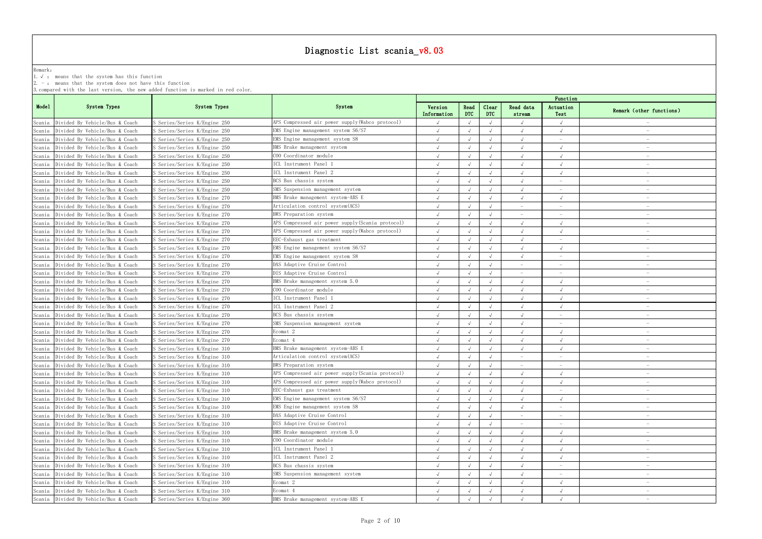|                  |                                                            |                                                                                   | Diagnostic List scania_v8.03                      |             |                    |            |           |                                 |                                 |
|------------------|------------------------------------------------------------|-----------------------------------------------------------------------------------|---------------------------------------------------|-------------|--------------------|------------|-----------|---------------------------------|---------------------------------|
|                  |                                                            |                                                                                   |                                                   |             |                    |            |           |                                 |                                 |
| Remark:          | 1. $\sqrt{ }$ : means that the system has this function    |                                                                                   |                                                   |             |                    |            |           |                                 |                                 |
|                  | $2. -$ : means that the system does not have this function |                                                                                   |                                                   |             |                    |            |           |                                 |                                 |
|                  |                                                            | 3. compared with the last version, the new added function is marked in red color. |                                                   |             |                    |            |           |                                 |                                 |
|                  |                                                            |                                                                                   |                                                   |             |                    |            |           | Function                        |                                 |
| Model            | System Types                                               | System Types                                                                      | System                                            | Version     | Read<br><b>DTC</b> | Clear      | Read data | Actuation                       | Remark (other functions)        |
|                  | Scania Divided By Vehicle/Bus & Coach                      | S Series/Series K/Engine 250                                                      | APS Compressed air power supply (Wabco protocol)  | Information |                    | <b>DTC</b> | stream    | Test                            |                                 |
|                  | Divided By Vehicle/Bus & Coach                             | S Series/Series K/Engine 250                                                      | EMS Engine management system S6/S7                |             |                    |            |           |                                 |                                 |
| Scania           | Divided By Vehicle/Bus & Coach                             | S Series/Series K/Engine 250                                                      | EMS Engine management system S8                   |             | $\sqrt{ }$         |            |           | $\overline{\phantom{a}}$        |                                 |
| Scania<br>Scania | Divided By Vehicle/Bus & Coach                             | S Series/Series K/Engine 250                                                      | BMS Brake management system                       |             | $\sqrt{ }$         |            |           |                                 | $\hspace{0.1mm}-\hspace{0.1mm}$ |
|                  | Scania Divided By Vehicle/Bus & Coach                      | S Series/Series K/Engine 250                                                      | COO Coordinator module                            |             | $\sqrt{ }$         |            |           |                                 |                                 |
|                  | Scania Divided By Vehicle/Bus & Coach                      | S Series/Series K/Engine 250                                                      | ICL Instrument Panel 1                            |             | $\sqrt{ }$         | $\sqrt{ }$ |           |                                 |                                 |
| Scania           | Divided By Vehicle/Bus & Coach                             | S Series/Series K/Engine 250                                                      | ICL Instrument Panel 2                            |             | $\sqrt{ }$         |            |           |                                 |                                 |
| Scania           | Divided By Vehicle/Bus & Coach                             | S Series/Series K/Engine 250                                                      | BCS Bus chassis system                            |             |                    |            |           |                                 |                                 |
|                  | Divided By Vehicle/Bus & Coach                             | S Series/Series K/Engine 250                                                      | SMS Suspension management system                  |             | $\sqrt{ }$         |            |           | $\overline{\phantom{m}}$        |                                 |
| Scania<br>Scania | Divided By Vehicle/Bus & Coach                             | S Series/Series K/Engine 270                                                      | BMS Brake management system-ABS E                 |             |                    |            |           |                                 |                                 |
| Scania           | Divided By Vehicle/Bus & Coach                             | S Series/Series K/Engine 270                                                      | Articulation control system (ACS)                 |             |                    |            |           |                                 |                                 |
| Scania           | Divided By Vehicle/Bus & Coach                             | S Series/Series K/Engine 270                                                      | BWS Preparation system                            |             | $\sqrt{ }$         |            |           | $\overline{\phantom{a}}$        |                                 |
| Scania           | Divided By Vehicle/Bus & Coach                             | S Series/Series K/Engine 270                                                      | APS Compressed air power supply (Scania protocol) |             |                    |            |           |                                 |                                 |
| Scania           | Divided By Vehicle/Bus & Coach                             | S Series/Series K/Engine 270                                                      | APS Compressed air power supply(Wabco protocol)   |             | $\sqrt{ }$         |            |           |                                 |                                 |
| Scania           | Divided By Vehicle/Bus & Coach                             | S Series/Series K/Engine 270                                                      | EEC-Exhaust gas treatment                         |             | $\sqrt{ }$         |            |           | $\overline{\phantom{m}}$        |                                 |
| Scania           | Divided By Vehicle/Bus & Coach                             | S Series/Series K/Engine 270                                                      | EMS Engine management system S6/S7                |             | $\sqrt{ }$         |            |           | $\sqrt{ }$                      |                                 |
|                  | Scania Divided By Vehicle/Bus & Coach                      | S Series/Series K/Engine 270                                                      | EMS Engine management system S8                   |             | $\sqrt{ }$         |            |           |                                 |                                 |
| Scania           | Divided By Vehicle/Bus & Coach                             | S Series/Series K/Engine 270                                                      | DAS Adaptive Cruise Control                       |             |                    |            |           |                                 |                                 |
| Scania           | Divided By Vehicle/Bus & Coach                             | S Series/Series K/Engine 270                                                      | DIS Adaptive Cruise Control                       |             |                    |            |           |                                 |                                 |
| Scania           | Divided By Vehicle/Bus & Coach                             | S Series/Series K/Engine 270                                                      | BMS Brake management system 5.0                   |             |                    |            |           |                                 |                                 |
| Scania           | Divided By Vehicle/Bus & Coach                             | S Series/Series K/Engine 270                                                      | COO Coordinator module                            |             |                    |            |           |                                 |                                 |
| Scania           | Divided By Vehicle/Bus & Coach                             | S Series/Series K/Engine 270                                                      | ICL Instrument Panel 1                            |             |                    |            |           |                                 |                                 |
| Scania           | Divided By Vehicle/Bus & Coach                             | S Series/Series K/Engine 270                                                      | ICL Instrument Panel 2                            |             | $\sqrt{ }$         |            |           |                                 |                                 |
| Scania           | Divided By Vehicle/Bus & Coach                             | S Series/Series K/Engine 270                                                      | BCS Bus chassis system                            |             |                    |            |           |                                 |                                 |
| Scania           | Divided By Vehicle/Bus & Coach                             | S Series/Series K/Engine 270                                                      | SMS Suspension management system                  |             |                    |            |           |                                 |                                 |
|                  | Scania Divided By Vehicle/Bus & Coach                      | S Series/Series K/Engine 270                                                      | Ecomat 2                                          |             | $\sqrt{ }$         |            |           |                                 |                                 |
|                  | Scania Divided By Vehicle/Bus & Coach                      | S Series/Series K/Engine 270                                                      | Ecomat 4                                          |             | $\sqrt{ }$         |            |           |                                 |                                 |
|                  | Scania Divided By Vehicle/Bus & Coach                      | S Series/Series K/Engine 310                                                      | BMS Brake management system-ABS E                 |             | $\sqrt{ }$         |            |           |                                 |                                 |
|                  | Scania Divided By Vehicle/Bus & Coach                      | S Series/Series K/Engine 310                                                      | Articulation control system (ACS)                 |             | $\sqrt{ }$         |            |           |                                 |                                 |
| Scania           | Divided By Vehicle/Bus & Coach                             | S Series/Series K/Engine 310                                                      | BWS Preparation system                            |             |                    |            |           |                                 |                                 |
| Scania           | Divided By Vehicle/Bus & Coach                             | S Series/Series K/Engine 310                                                      | APS Compressed air power supply (Scania protocol) |             | $\sqrt{ }$         |            |           |                                 | $\overline{\phantom{a}}$        |
|                  | Scania Divided By Vehicle/Bus & Coach                      | S Series/Series K/Engine 310                                                      | APS Compressed air power supply (Wabco protocol)  |             | $\sqrt{ }$         |            |           |                                 | $\hspace{0.1mm}-\hspace{0.1mm}$ |
|                  | Scania Divided By Vehicle/Bus & Coach                      | S Series/Series K/Engine 310                                                      | EEC-Exhaust gas treatment                         |             | $\sqrt{ }$         |            |           |                                 |                                 |
|                  | Scania Divided By Vehicle/Bus & Coach                      | S Series/Series K/Engine 310                                                      | EMS Engine management system S6/S7                |             | $\sqrt{ }$         |            |           |                                 |                                 |
| Scania           | Divided By Vehicle/Bus & Coach                             | S Series/Series K/Engine 310                                                      | EMS Engine management system S8                   |             |                    |            |           |                                 |                                 |
| Scania           | Divided By Vehicle/Bus & Coach                             | S Series/Series K/Engine 310                                                      | DAS Adaptive Cruise Control                       |             |                    |            |           |                                 |                                 |
|                  | Scania Divided By Vehicle/Bus & Coach                      | S Series/Series K/Engine 310                                                      | DIS Adaptive Cruise Control                       |             | $\sqrt{ }$         |            |           | $\sim$                          | $-$                             |
| Scania           | Divided By Vehicle/Bus & Coach                             | S Series/Series K/Engine 310                                                      | BMS Brake management system 5.0                   |             | $\sqrt{ }$         |            |           | $\sqrt{ }$                      |                                 |
|                  | Scania Divided By Vehicle/Bus & Coach                      | S Series/Series K/Engine 310                                                      | COO Coordinator module                            |             | $\sqrt{ }$         |            |           |                                 |                                 |
| Scania           | Divided By Vehicle/Bus & Coach                             | S Series/Series K/Engine 310                                                      | ICL Instrument Panel 1                            |             | $\sqrt{ }$         |            |           |                                 |                                 |
| Scania           | Divided By Vehicle/Bus & Coach                             | S Series/Series K/Engine 310                                                      | ICL Instrument Panel 2                            |             | $\sqrt{ }$         |            |           | $\sqrt{ }$                      |                                 |
| Scania           | Divided By Vehicle/Bus & Coach                             | S Series/Series K/Engine 310                                                      | BCS Bus chassis system                            |             | $\sqrt{ }$         |            |           | $-$                             | $\hspace{0.1mm}-\hspace{0.1mm}$ |
| Scania           | Divided By Vehicle/Bus & Coach                             | S Series/Series K/Engine 310                                                      | SMS Suspension management system                  |             | $\sqrt{ }$         |            |           | $\hspace{0.1mm}-\hspace{0.1mm}$ | $\hspace{0.1mm}-\hspace{0.1mm}$ |
|                  | Scania Divided By Vehicle/Bus & Coach                      | S Series/Series K/Engine 310                                                      | Ecomat 2                                          |             |                    |            |           | $\sqrt{ }$                      |                                 |
|                  | Scania Divided By Vehicle/Bus & Coach                      | S Series/Series K/Engine 310                                                      | Ecomat 4                                          |             | $\sqrt{ }$         |            |           |                                 |                                 |
|                  | Scania Divided By Vehicle/Bus & Coach                      | S Series/Series K/Engine 360                                                      | BMS Brake management system-ABS E                 |             |                    |            |           |                                 |                                 |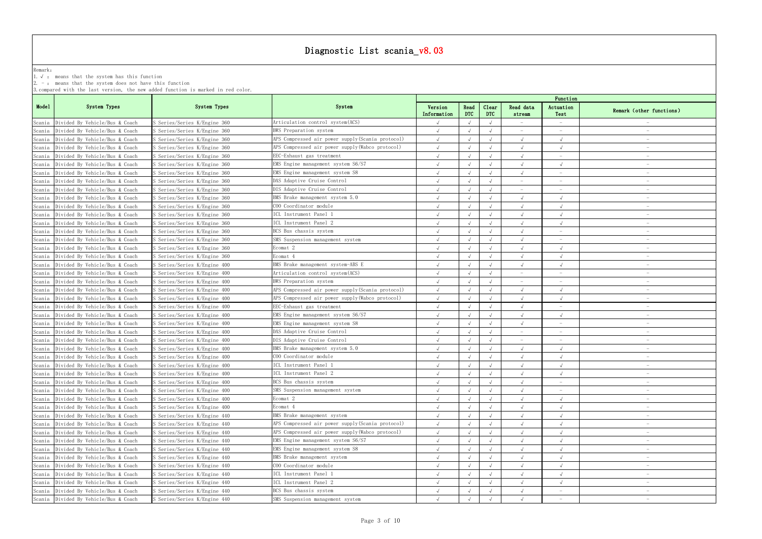|         |                                                            |                                                                                   | Diagnostic List scania_v8.03                      |             |            |       |           |                                 |                                 |
|---------|------------------------------------------------------------|-----------------------------------------------------------------------------------|---------------------------------------------------|-------------|------------|-------|-----------|---------------------------------|---------------------------------|
|         |                                                            |                                                                                   |                                                   |             |            |       |           |                                 |                                 |
| Remark: | 1. $\sqrt{ }$ : means that the system has this function    |                                                                                   |                                                   |             |            |       |           |                                 |                                 |
|         | $2. -$ : means that the system does not have this function |                                                                                   |                                                   |             |            |       |           |                                 |                                 |
|         |                                                            | 3. compared with the last version, the new added function is marked in red color. |                                                   |             |            |       |           |                                 |                                 |
|         |                                                            |                                                                                   |                                                   |             |            |       |           | Function                        |                                 |
| Model   | System Types                                               | System Types                                                                      | System                                            | Version     | Read       | Clear | Read data | Actuation                       | Remark (other functions)        |
|         |                                                            |                                                                                   |                                                   | Information | <b>DTC</b> | DTC   | stream    | Test                            |                                 |
|         | Scania Divided By Vehicle/Bus & Coach                      | S Series/Series K/Engine 360                                                      | Articulation control system (ACS)                 |             |            |       |           |                                 |                                 |
| Scania  | Divided By Vehicle/Bus & Coach                             | Series/Series K/Engine 360                                                        | BWS Preparation system                            |             |            |       |           |                                 |                                 |
| Scania  | Divided By Vehicle/Bus & Coach                             | S Series/Series K/Engine 360                                                      | APS Compressed air power supply (Scania protocol) |             | $\sqrt{ }$ |       |           |                                 |                                 |
| Scania  | Divided By Vehicle/Bus & Coach                             | S Series/Series K/Engine 360                                                      | APS Compressed air power supply(Wabco protocol)   |             | $\sqrt{ }$ |       |           |                                 | $\hspace{0.1mm}-\hspace{0.1mm}$ |
| Scania  | Divided By Vehicle/Bus & Coach                             | S Series/Series K/Engine 360                                                      | EEC-Exhaust gas treatment                         |             | $\sqrt{ }$ |       |           |                                 |                                 |
|         | Scania Divided By Vehicle/Bus & Coach                      | S Series/Series K/Engine 360                                                      | EMS Engine management system S6/S7                |             | $\sqrt{ }$ |       |           |                                 |                                 |
| Scania  | Divided By Vehicle/Bus & Coach                             | S Series/Series K/Engine 360                                                      | EMS Engine management system S8                   |             | $\sqrt{ }$ |       |           |                                 |                                 |
| Scania  | Divided By Vehicle/Bus & Coach                             | S Series/Series K/Engine 360                                                      | DAS Adaptive Cruise Control                       |             |            |       |           |                                 |                                 |
| Scania  | Divided By Vehicle/Bus & Coach                             | S Series/Series K/Engine 360                                                      | DIS Adaptive Cruise Control                       |             | $\sqrt{ }$ |       |           | $\hspace{0.1mm}-\hspace{0.1mm}$ | $\hspace{0.1mm}-\hspace{0.1mm}$ |
| Scania  | Divided By Vehicle/Bus & Coach                             | S Series/Series K/Engine 360                                                      | BMS Brake management system 5.0                   |             | $\sqrt{ }$ |       |           |                                 |                                 |
| Scania  | Divided By Vehicle/Bus & Coach                             | S Series/Series K/Engine 360                                                      | COO Coordinator module                            |             | $\sqrt{ }$ |       |           |                                 |                                 |
| Scania  | Divided By Vehicle/Bus & Coach                             | S Series/Series K/Engine 360                                                      | ICL Instrument Panel 1                            |             | $\sqrt{ }$ |       |           |                                 |                                 |
| Scania  | Divided By Vehicle/Bus & Coach                             | S Series/Series K/Engine 360                                                      | ICL Instrument Panel 2                            |             |            |       |           |                                 |                                 |
| Scania  | Divided By Vehicle/Bus & Coach                             | S Series/Series K/Engine 360                                                      | BCS Bus chassis system                            |             | $\sqrt{ }$ |       |           | $\hspace{0.1mm}-\hspace{0.1mm}$ |                                 |
| Scania  | Divided By Vehicle/Bus & Coach                             | S Series/Series K/Engine 360                                                      | SMS Suspension management system                  |             | $\sqrt{ }$ |       |           | $\hspace{0.1mm}-\hspace{0.1mm}$ | $\hspace{0.1mm}-\hspace{0.1mm}$ |
| Scania  | Divided By Vehicle/Bus & Coach                             | S Series/Series K/Engine 360                                                      | Ecomat 2                                          |             | $\sqrt{ }$ |       |           | $\sqrt{ }$                      |                                 |
|         | Scania Divided By Vehicle/Bus & Coach                      | S Series/Series K/Engine 360                                                      | Ecomat 4                                          |             | $\sqrt{ }$ |       |           |                                 |                                 |
| Scania  | Divided By Vehicle/Bus & Coach                             | S Series/Series K/Engine 400                                                      | BMS Brake management system-ABS E                 |             | $\sqrt{ }$ |       |           |                                 |                                 |
| Scania  | Divided By Vehicle/Bus & Coach                             | S Series/Series K/Engine 400                                                      | Articulation control system (ACS)                 |             |            |       |           |                                 |                                 |
| Scania  | Divided By Vehicle/Bus & Coach                             | S Series/Series K/Engine 400                                                      | BWS Preparation system                            |             |            |       |           |                                 |                                 |
| Scania  | Divided By Vehicle/Bus & Coach                             | S Series/Series K/Engine 400                                                      | APS Compressed air power supply (Scania protocol) |             |            |       |           |                                 |                                 |
| Scania  | Divided By Vehicle/Bus & Coach                             | S Series/Series K/Engine 400                                                      | APS Compressed air power supply (Wabco protocol)  |             |            |       |           |                                 |                                 |
| Scania  | Divided By Vehicle/Bus & Coach                             | S Series/Series K/Engine 400                                                      | EEC-Exhaust gas treatment                         |             | $\sqrt{ }$ |       |           |                                 |                                 |
| Scania  | Divided By Vehicle/Bus & Coach                             | S Series/Series K/Engine 400                                                      | EMS Engine management system S6/S7                |             | $\sqrt{ }$ |       |           |                                 |                                 |
| Scania  | Divided By Vehicle/Bus & Coach                             | S Series/Series K/Engine 400                                                      | EMS Engine management system S8                   |             |            |       |           |                                 |                                 |
|         | Scania Divided By Vehicle/Bus & Coach                      | S Series/Series K/Engine 400                                                      | DAS Adaptive Cruise Control                       |             | $\sqrt{ }$ |       |           |                                 |                                 |
| Scania  | Divided By Vehicle/Bus & Coach                             | S Series/Series K/Engine 400                                                      | DIS Adaptive Cruise Control                       |             | $\sqrt{ }$ |       |           |                                 |                                 |
|         | Scania Divided By Vehicle/Bus & Coach                      | S Series/Series K/Engine 400                                                      | BMS Brake management system 5.0                   |             | $\sqrt{ }$ |       |           |                                 |                                 |
| Scania  | Divided By Vehicle/Bus & Coach                             | S Series/Series K/Engine 400                                                      | COO Coordinator module                            |             | $\sqrt{ }$ |       |           |                                 |                                 |
| Scania  | Divided By Vehicle/Bus & Coach                             | S Series/Series K/Engine 400                                                      | ICL Instrument Panel 1                            |             | $\sqrt{ }$ |       |           |                                 |                                 |
| Scania  | Divided By Vehicle/Bus & Coach                             | S Series/Series K/Engine 400                                                      | ICL Instrument Panel 2                            |             | $\sqrt{ }$ |       |           |                                 | $\hspace{0.1mm}-\hspace{0.1mm}$ |
| Scania  | Divided By Vehicle/Bus & Coach                             | S Series/Series K/Engine 400                                                      | BCS Bus chassis system                            |             | $\sqrt{ }$ |       |           | $\hspace{0.1mm}-\hspace{0.1mm}$ | $\hspace{0.1mm}-\hspace{0.1mm}$ |
|         | Scania Divided By Vehicle/Bus & Coach                      | S Series/Series K/Engine 400                                                      | SMS Suspension management system                  |             | $\sqrt{ }$ |       |           | $\overline{\phantom{a}}$        |                                 |
|         | Scania Divided By Vehicle/Bus & Coach                      | S Series/Series K/Engine 400                                                      | Ecomat 2                                          |             | $\sqrt{ }$ |       |           |                                 |                                 |
| Scania  | Divided By Vehicle/Bus & Coach                             | S Series/Series K/Engine 400                                                      | Ecomat 4                                          |             |            |       |           |                                 |                                 |
| Scania  | Divided By Vehicle/Bus & Coach                             | S Series/Series K/Engine 440                                                      | BMS Brake management system                       |             |            |       |           |                                 |                                 |
| Scania  | Divided By Vehicle/Bus & Coach                             | S Series/Series K/Engine 440                                                      | APS Compressed air power supply (Scania protocol) |             | $\sqrt{ }$ |       |           |                                 | $\hspace{0.1mm}-\hspace{0.1mm}$ |
| Scania  | Divided By Vehicle/Bus & Coach                             | S Series/Series K/Engine 440                                                      | APS Compressed air power supply (Wabco protocol)  |             |            |       |           |                                 |                                 |
|         | Scania Divided By Vehicle/Bus & Coach                      | S Series/Series K/Engine 440                                                      | EMS Engine management system S6/S7                |             |            |       |           |                                 |                                 |
| Scania  | Divided By Vehicle/Bus & Coach                             | S Series/Series K/Engine 440                                                      | EMS Engine management system S8                   |             |            |       |           |                                 |                                 |
| Scania  | Divided By Vehicle/Bus & Coach                             | S Series/Series K/Engine 440                                                      | BMS Brake management system                       |             | $\sqrt{ }$ |       |           |                                 |                                 |
| Scania  | Divided By Vehicle/Bus & Coach                             | S Series/Series K/Engine 440                                                      | COO Coordinator module                            |             | $\sqrt{ }$ |       |           |                                 | $\hspace{0.1mm}$                |
| Scania  | Divided By Vehicle/Bus & Coach                             | S Series/Series K/Engine 440                                                      | ICL Instrument Panel 1                            |             | $\sqrt{ }$ |       |           |                                 | $\overline{\phantom{0}}$        |
|         | Scania Divided By Vehicle/Bus & Coach                      | S Series/Series K/Engine 440                                                      | ICL Instrument Panel 2                            |             | $\sqrt{ }$ |       |           | $\sqrt{ }$                      |                                 |
|         | Scania Divided By Vehicle/Bus & Coach                      | S Series/Series K/Engine 440                                                      | BCS Bus chassis system                            |             | $\sqrt{ }$ |       |           | $\hspace{0.1mm}-\hspace{0.1mm}$ |                                 |
|         | Scania Divided By Vehicle/Bus & Coach                      | S Series/Series K/Engine 440                                                      | SMS Suspension management system                  |             |            |       |           |                                 |                                 |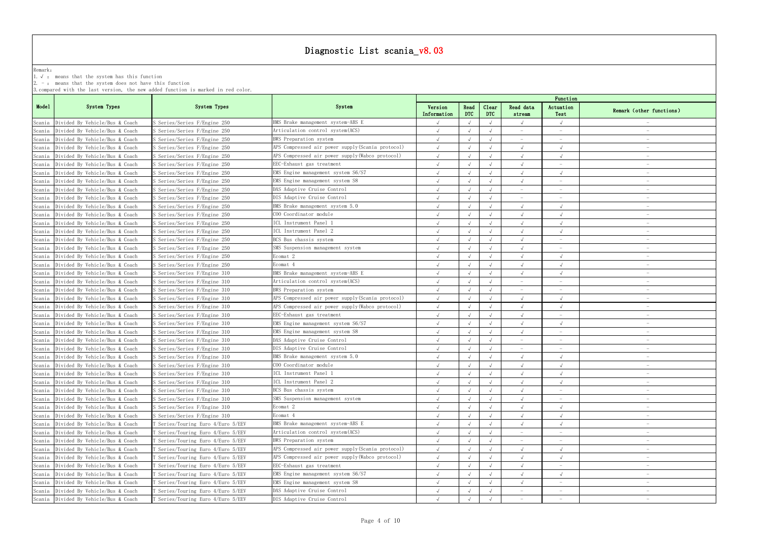|         |                                                            |                                                                                   | Diagnostic List scania_v8.03                      |             |            |            |           |                                 |                                 |
|---------|------------------------------------------------------------|-----------------------------------------------------------------------------------|---------------------------------------------------|-------------|------------|------------|-----------|---------------------------------|---------------------------------|
| Remark: |                                                            |                                                                                   |                                                   |             |            |            |           |                                 |                                 |
|         | 1. $\sqrt{ }$ : means that the system has this function    |                                                                                   |                                                   |             |            |            |           |                                 |                                 |
|         | $2. -$ : means that the system does not have this function |                                                                                   |                                                   |             |            |            |           |                                 |                                 |
|         |                                                            | 3. compared with the last version, the new added function is marked in red color. |                                                   |             |            |            |           |                                 |                                 |
|         |                                                            |                                                                                   |                                                   |             |            |            |           | Function                        |                                 |
| Model   | System Types                                               | System Types                                                                      | System                                            | Version     | Read       | Clear      | Read data | Actuation                       | Remark (other functions)        |
|         |                                                            |                                                                                   |                                                   | Information | <b>DTC</b> | DTC        | stream    | Test                            |                                 |
|         | Scania Divided By Vehicle/Bus & Coach                      | S Series/Series F/Engine 250                                                      | BMS Brake management system-ABS E                 |             |            |            |           |                                 |                                 |
| Scania  | Divided By Vehicle/Bus & Coach                             | S Series/Series F/Engine 250                                                      | Articulation control system (ACS)                 |             |            |            |           |                                 |                                 |
| Scania  | Divided By Vehicle/Bus & Coach                             | S Series/Series F/Engine 250                                                      | BWS Preparation system                            |             |            |            |           | $\overline{\phantom{a}}$        |                                 |
| Scania  | Divided By Vehicle/Bus & Coach                             | S Series/Series F/Engine 250                                                      | APS Compressed air power supply(Scania protocol)  |             | $\sqrt{ }$ |            |           |                                 |                                 |
|         | Scania Divided By Vehicle/Bus & Coach                      | S Series/Series F/Engine 250                                                      | APS Compressed air power supply (Wabco protocol)  |             |            |            |           | $\sqrt{ }$                      |                                 |
|         | Scania Divided By Vehicle/Bus & Coach                      | S Series/Series F/Engine 250                                                      | EEC-Exhaust gas treatment                         |             | $\sqrt{ }$ | $\sqrt{ }$ |           | $\overline{\phantom{a}}$        |                                 |
| Scania  | Divided By Vehicle/Bus & Coach                             | S Series/Series F/Engine 250                                                      | EMS Engine management system S6/S7                |             |            |            |           |                                 |                                 |
| Scania  | Divided By Vehicle/Bus & Coach                             | S Series/Series F/Engine 250                                                      | EMS Engine management system S8                   |             |            |            |           |                                 |                                 |
| Scania  | Divided By Vehicle/Bus & Coach                             | S Series/Series F/Engine 250                                                      | DAS Adaptive Cruise Control                       |             | $\sqrt{ }$ |            |           | $\overline{\phantom{a}}$        |                                 |
| Scania  | Divided By Vehicle/Bus & Coach                             | S Series/Series F/Engine 250                                                      | DIS Adaptive Cruise Control                       |             |            |            |           |                                 |                                 |
|         | Scania Divided By Vehicle/Bus & Coach                      | S Series/Series F/Engine 250                                                      | BMS Brake management system 5.0                   |             |            |            |           |                                 |                                 |
|         | Scania Divided By Vehicle/Bus & Coach                      | S Series/Series F/Engine 250                                                      | COO Coordinator module                            |             | $\sqrt{ }$ |            |           |                                 |                                 |
| Scania  | Divided By Vehicle/Bus & Coach                             | S Series/Series F/Engine 250                                                      | ICL Instrument Panel                              |             |            |            |           |                                 |                                 |
|         | Scania Divided By Vehicle/Bus & Coach                      | S Series/Series F/Engine 250                                                      | CL Instrument Panel 2                             |             |            |            |           |                                 |                                 |
|         | Scania Divided By Vehicle/Bus & Coach                      | S Series/Series F/Engine 250                                                      | BCS Bus chassis system                            |             | $\sqrt{ }$ |            |           | $\overline{\phantom{m}}$        |                                 |
|         | Scania Divided By Vehicle/Bus & Coach                      | S Series/Series F/Engine 250                                                      | SMS Suspension management system                  |             | $\sqrt{ }$ |            |           |                                 |                                 |
|         | Scania Divided By Vehicle/Bus & Coach                      | S Series/Series F/Engine 250                                                      | Ecomat 2                                          |             | $\sqrt{ }$ |            |           | $\sqrt{ }$                      |                                 |
| Scania  | Divided By Vehicle/Bus & Coach                             | S Series/Series F/Engine 250                                                      | Ecomat 4                                          |             |            |            |           |                                 |                                 |
| Scania  | Divided By Vehicle/Bus & Coach                             | S Series/Series F/Engine 310                                                      | BMS Brake management system-ABS E                 |             |            |            |           |                                 |                                 |
| Scania  | Divided By Vehicle/Bus & Coach                             | S Series/Series F/Engine 310                                                      | Articulation control system(ACS)                  |             |            |            |           | $\hspace{0.1mm}-\hspace{0.1mm}$ |                                 |
| Scania  | Divided By Vehicle/Bus & Coach                             | S Series/Series F/Engine 310                                                      | BWS Preparation system                            |             |            |            |           |                                 |                                 |
|         | Scania Divided By Vehicle/Bus & Coach                      | S Series/Series F/Engine 310                                                      | APS Compressed air power supply(Scania protocol)  |             |            |            |           |                                 |                                 |
| Scania  | Divided By Vehicle/Bus & Coach                             | S Series/Series F/Engine 310                                                      | APS Compressed air power supply (Wabco protocol)  |             |            |            |           |                                 |                                 |
| Scania  | Divided By Vehicle/Bus & Coach                             | S Series/Series F/Engine 310                                                      | EEC-Exhaust gas treatment                         |             |            |            |           |                                 |                                 |
| Scania  | Divided By Vehicle/Bus & Coach                             | S Series/Series F/Engine 310                                                      | EMS Engine management system S6/S7                |             |            |            |           |                                 |                                 |
|         | Scania Divided By Vehicle/Bus & Coach                      | S Series/Series F/Engine 310                                                      | EMS Engine management system S8                   |             | $\sqrt{ }$ |            |           |                                 |                                 |
|         | Scania Divided By Vehicle/Bus & Coach                      | S Series/Series F/Engine 310                                                      | DAS Adaptive Cruise Control                       |             |            |            |           |                                 |                                 |
|         | Scania Divided By Vehicle/Bus & Coach                      | S Series/Series F/Engine 310                                                      | DIS Adaptive Cruise Control                       |             | $\sqrt{ }$ |            |           |                                 |                                 |
| Scania  | Divided By Vehicle/Bus & Coach                             | S Series/Series F/Engine 310                                                      | BMS Brake management system 5.0                   |             | $\sqrt{ }$ |            |           |                                 |                                 |
| Scania  | Divided By Vehicle/Bus & Coach                             | S Series/Series F/Engine 310                                                      | COO Coordinator module                            |             |            |            |           |                                 |                                 |
|         | Scania Divided By Vehicle/Bus & Coach                      | S Series/Series F/Engine 310                                                      | ICL Instrument Panel 1                            |             | $\sqrt{ }$ |            |           | $\sqrt{ }$                      | $\hspace{0.1mm}-\hspace{0.1mm}$ |
|         | Scania Divided By Vehicle/Bus & Coach                      | S Series/Series F/Engine 310                                                      | ICL Instrument Panel 2                            |             | $\sqrt{ }$ |            |           | $\sqrt{ }$                      |                                 |
|         | Scania Divided By Vehicle/Bus & Coach                      | S Series/Series F/Engine 310                                                      | BCS Bus chassis system                            |             | $\sqrt{ }$ |            |           |                                 |                                 |
|         | Scania Divided By Vehicle/Bus & Coach                      | S Series/Series F/Engine 310                                                      | SMS Suspension management system                  |             | $\sqrt{ }$ | $\sqrt{ }$ |           | $\overline{\phantom{a}}$        |                                 |
| Scania  | Divided By Vehicle/Bus & Coach                             | S Series/Series F/Engine 310                                                      | Ecomat 2                                          |             |            |            |           |                                 |                                 |
|         | Scania Divided By Vehicle/Bus & Coach                      | S Series/Series F/Engine 310                                                      | Ecomat 4                                          |             |            |            |           |                                 |                                 |
|         | Scania Divided By Vehicle/Bus & Coach                      | T Series/Touring Euro 4/Euro 5/EEV                                                | BMS Brake management system-ABS E                 |             | $\sqrt{ }$ |            |           | $\sqrt{ }$                      | $-$                             |
|         | Scania Divided By Vehicle/Bus & Coach                      | T Series/Touring Euro 4/Euro 5/EEV                                                | Articulation control system (ACS)                 |             |            |            |           |                                 |                                 |
|         | Scania Divided By Vehicle/Bus & Coach                      | T Series/Touring Euro 4/Euro 5/EEV                                                | BWS Preparation system                            |             |            |            |           |                                 |                                 |
| Scania  | Divided By Vehicle/Bus & Coach                             | T Series/Touring Euro 4/Euro 5/EEV                                                | APS Compressed air power supply (Scania protocol) |             |            |            |           |                                 |                                 |
| Scania  | Divided By Vehicle/Bus & Coach                             | Series/Touring Euro 4/Euro 5/EEV                                                  | APS Compressed air power supply (Wabco protocol)  |             | $\sqrt{ }$ |            |           | $\sqrt{ }$                      |                                 |
|         | Scania Divided By Vehicle/Bus & Coach                      | T Series/Touring Euro 4/Euro 5/EEV                                                | EEC-Exhaust gas treatment                         |             | $\sqrt{ }$ |            |           | $-$                             |                                 |
|         | Scania Divided By Vehicle/Bus & Coach                      | T Series/Touring Euro 4/Euro 5/EEV                                                | EMS Engine management system S6/S7                |             | $\sqrt{ }$ |            |           |                                 | $\hspace{0.1mm}-\hspace{0.1mm}$ |
|         | Scania Divided By Vehicle/Bus & Coach                      | T Series/Touring Euro 4/Euro 5/EEV                                                | EMS Engine management system S8                   |             |            |            |           |                                 |                                 |
|         | Scania Divided By Vehicle/Bus & Coach                      | T Series/Touring Euro 4/Euro 5/EEV                                                | DAS Adaptive Cruise Control                       |             |            |            |           |                                 |                                 |
|         | Scania Divided By Vehicle/Bus & Coach                      | T Series/Touring Euro 4/Euro 5/EEV                                                | DIS Adaptive Cruise Control                       |             |            |            |           |                                 |                                 |
|         |                                                            |                                                                                   |                                                   |             |            |            |           |                                 |                                 |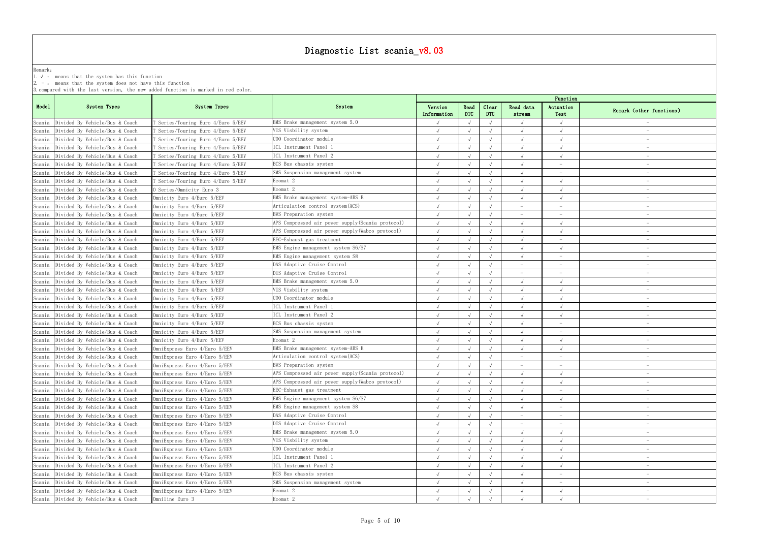|         |                                                            |                                                                                   | Diagnostic List scania_v8.03                                                |             |                          |       |           |                                 |                                 |
|---------|------------------------------------------------------------|-----------------------------------------------------------------------------------|-----------------------------------------------------------------------------|-------------|--------------------------|-------|-----------|---------------------------------|---------------------------------|
|         |                                                            |                                                                                   |                                                                             |             |                          |       |           |                                 |                                 |
| Remark: | 1. $\sqrt{ }$ : means that the system has this function    |                                                                                   |                                                                             |             |                          |       |           |                                 |                                 |
|         | $2. -$ : means that the system does not have this function |                                                                                   |                                                                             |             |                          |       |           |                                 |                                 |
|         |                                                            | 3. compared with the last version, the new added function is marked in red color. |                                                                             |             |                          |       |           |                                 |                                 |
|         |                                                            |                                                                                   |                                                                             |             |                          |       |           | Function                        |                                 |
| Model   | System Types                                               | System Types                                                                      | System                                                                      | Version     | Read                     | Clear | Read data | Actuation                       | Remark (other functions)        |
|         |                                                            |                                                                                   |                                                                             | Information | <b>DTC</b>               | DTC   | stream    | Test                            |                                 |
|         | Scania Divided By Vehicle/Bus & Coach                      | Series/Touring Euro 4/Euro 5/EEV                                                  | BMS Brake management system 5.0                                             |             |                          |       |           |                                 |                                 |
| Scania  | Divided By Vehicle/Bus & Coach                             | Series/Touring Euro 4/Euro 5/EEV                                                  | VIS Visbility system                                                        |             | $\sqrt{ }$               |       |           |                                 |                                 |
| Scania  | Divided By Vehicle/Bus & Coach                             | Series/Touring Euro 4/Euro 5/EEV [                                                | COO Coordinator module<br>ICL Instrument Panel 1                            |             | $\sqrt{ }$               |       |           |                                 |                                 |
| Scania  | Divided By Vehicle/Bus & Coach                             | Series/Touring Euro 4/Euro 5/EEV `                                                | ICL Instrument Panel 2                                                      |             | $\sqrt{ }$               |       |           |                                 | $\hspace{0.1mm}-\hspace{0.1mm}$ |
| Scania  | Divided By Vehicle/Bus & Coach                             | Series/Touring Euro 4/Euro 5/EEV [                                                |                                                                             |             | $\sqrt{ }$               |       |           |                                 |                                 |
|         | Scania Divided By Vehicle/Bus & Coach                      | Series/Touring Euro 4/Euro 5/EEV                                                  | BCS Bus chassis system                                                      |             | $\sqrt{ }$<br>$\sqrt{ }$ |       |           |                                 |                                 |
| Scania  | Divided By Vehicle/Bus & Coach                             | Series/Touring Euro 4/Euro 5/EEV `                                                | SMS Suspension management system                                            |             |                          |       |           |                                 |                                 |
| Scania  | Divided By Vehicle/Bus & Coach                             | Series/Touring Euro 4/Euro 5/EEV                                                  | Ecomat 2                                                                    |             |                          |       |           |                                 |                                 |
| Scania  | Divided By Vehicle/Bus & Coach                             | O Series/Omnicity Euro 3                                                          | Ecomat 2                                                                    |             | $\sqrt{ }$               |       |           |                                 | $\hspace{0.1mm}-\hspace{0.1mm}$ |
| Scania  | Divided By Vehicle/Bus & Coach                             | Omnicity Euro 4/Euro 5/EEV                                                        | BMS Brake management system-ABS E                                           |             | $\sqrt{ }$               |       |           |                                 |                                 |
| Scania  | Divided By Vehicle/Bus & Coach                             | Omnicity Euro 4/Euro 5/EEV                                                        | Articulation control system (ACS)                                           |             | $\sqrt{ }$               |       |           |                                 |                                 |
| Scania  | Divided By Vehicle/Bus & Coach                             | Omnicity Euro 4/Euro 5/EEV                                                        | BWS Preparation system<br>APS Compressed air power supply (Scania protocol) |             | $\sqrt{ }$               |       |           |                                 |                                 |
| Scania  | Divided By Vehicle/Bus & Coach                             | Omnicity Euro 4/Euro 5/EEV                                                        |                                                                             |             |                          |       |           |                                 |                                 |
| Scania  | Divided By Vehicle/Bus & Coach                             | Omnicity Euro 4/Euro 5/EEV                                                        | APS Compressed air power supply (Wabco protocol)                            |             | $\sqrt{ }$               |       |           |                                 |                                 |
|         | Scania Divided By Vehicle/Bus & Coach                      | Omnicity Euro 4/Euro 5/EEV                                                        | EEC-Exhaust gas treatment                                                   |             | $\sqrt{ }$               |       |           | $\hspace{0.1mm}-\hspace{0.1mm}$ | $\hspace{0.1mm}-\hspace{0.1mm}$ |
| Scania  | Divided By Vehicle/Bus & Coach                             | Omnicity Euro 4/Euro 5/EEV                                                        | EMS Engine management system S6/S7                                          |             | $\sqrt{ }$               |       |           | $\sqrt{ }$                      |                                 |
|         | Scania Divided By Vehicle/Bus & Coach                      | Omnicity Euro 4/Euro 5/EEV                                                        | EMS Engine management system S8                                             |             | $\sqrt{ }$               |       |           | $\overline{\phantom{m}}$        |                                 |
| Scania  | Divided By Vehicle/Bus & Coach                             | Omnicity Euro 4/Euro 5/EEV                                                        | DAS Adaptive Cruise Control                                                 |             | $\sqrt{ }$               |       |           |                                 |                                 |
| Scania  | Divided By Vehicle/Bus & Coach                             | Omnicity Euro 4/Euro 5/EEV                                                        | DIS Adaptive Cruise Control                                                 |             |                          |       |           |                                 |                                 |
| Scania  | Divided By Vehicle/Bus & Coach                             | Omnicity Euro 4/Euro 5/EEV                                                        | BMS Brake management system 5.0                                             |             | $\sqrt{ }$               |       |           |                                 |                                 |
| Scania  | Divided By Vehicle/Bus & Coach                             | Omnicity Euro 4/Euro 5/EEV                                                        | VIS Visbility system                                                        |             |                          |       |           |                                 |                                 |
| Scania  | Divided By Vehicle/Bus & Coach                             | Omnicity Euro 4/Euro 5/EEV                                                        | COO Coordinator module                                                      |             |                          |       |           |                                 |                                 |
| Scania  | Divided By Vehicle/Bus & Coach                             | Omnicity Euro 4/Euro 5/EEV                                                        | ICL Instrument Panel 1                                                      |             | $\sqrt{ }$               |       |           |                                 |                                 |
| Scania  | Divided By Vehicle/Bus & Coach                             | Omnicity Euro 4/Euro 5/EEV                                                        | ICL Instrument Panel 2                                                      |             | $\sqrt{ }$               |       |           |                                 |                                 |
| Scania  | Divided By Vehicle/Bus & Coach                             | Omnicity Euro 4/Euro 5/EEV                                                        | BCS Bus chassis system                                                      |             |                          |       |           |                                 |                                 |
|         | Scania Divided By Vehicle/Bus & Coach                      | Omnicity Euro 4/Euro 5/EEV                                                        | SMS Suspension management system                                            |             | $\sqrt{ }$               |       |           |                                 |                                 |
| Scania  | Divided By Vehicle/Bus & Coach                             | Omnicity Euro 4/Euro 5/EEV                                                        | Ecomat 2                                                                    |             | $\sqrt{ }$               |       |           |                                 |                                 |
|         | Scania Divided By Vehicle/Bus & Coach                      | OmniExpress Euro 4/Euro 5/EEV                                                     | BMS Brake management system-ABS E                                           |             | $\sqrt{ }$               |       |           |                                 |                                 |
| Scania  | Divided By Vehicle/Bus & Coach                             | OmniExpress Euro 4/Euro 5/EEV                                                     | Articulation control system(ACS)                                            |             | $\sqrt{ }$               |       |           |                                 |                                 |
| Scania  | Divided By Vehicle/Bus & Coach                             | OmniExpress Euro 4/Euro 5/EEV                                                     | BWS Preparation system                                                      |             | $\sqrt{ }$               |       |           |                                 |                                 |
| Scania  | Divided By Vehicle/Bus & Coach                             | OmniExpress Euro 4/Euro 5/EEV                                                     | APS Compressed air power supply (Scania protocol)                           |             | $\sqrt{ }$               |       |           |                                 | $\hspace{0.1mm}-\hspace{0.1mm}$ |
|         | Scania Divided By Vehicle/Bus & Coach                      | OmniExpress Euro 4/Euro 5/EEV                                                     | APS Compressed air power supply (Wabco protocol)                            |             | $\sqrt{ }$               |       |           |                                 | $\hspace{0.1mm}-\hspace{0.1mm}$ |
|         | Scania Divided By Vehicle/Bus & Coach                      | OmniExpress Euro 4/Euro 5/EEV                                                     | EEC-Exhaust gas treatment                                                   |             | $\sqrt{ }$               |       |           |                                 |                                 |
|         | Scania Divided By Vehicle/Bus & Coach                      | OmniExpress Euro 4/Euro 5/EEV                                                     | EMS Engine management system S6/S7                                          |             | $\sqrt{ }$               |       |           |                                 |                                 |
| Scania  | Divided By Vehicle/Bus & Coach                             | OmniExpress Euro 4/Euro 5/EEV                                                     | EMS Engine management system S8                                             |             |                          |       |           |                                 |                                 |
| Scania  | Divided By Vehicle/Bus & Coach                             | OmniExpress Euro 4/Euro 5/EEV                                                     | DAS Adaptive Cruise Control                                                 |             |                          |       |           |                                 |                                 |
| Scania  | Divided By Vehicle/Bus & Coach                             | OmniExpress Euro 4/Euro 5/EEV                                                     | DIS Adaptive Cruise Control                                                 |             | $\sqrt{ }$               |       |           | $\overline{\phantom{a}}$        | $\hspace{0.1mm}-\hspace{0.1mm}$ |
| Scania  | Divided By Vehicle/Bus & Coach                             | OmniExpress Euro 4/Euro 5/EEV                                                     | BMS Brake management system 5.0                                             |             |                          |       |           | $\sqrt{ }$                      |                                 |
|         | Scania Divided By Vehicle/Bus & Coach                      | OmniExpress Euro 4/Euro 5/EEV                                                     | VIS Visbility system                                                        |             |                          |       |           |                                 |                                 |
| Scania  | Divided By Vehicle/Bus & Coach                             | OmniExpress Euro 4/Euro 5/EEV                                                     | COO Coordinator module                                                      |             |                          |       |           |                                 |                                 |
| Scania  | Divided By Vehicle/Bus & Coach                             | OmniExpress Euro 4/Euro 5/EEV                                                     | ICL Instrument Panel 1                                                      |             | $\sqrt{ }$               |       |           |                                 |                                 |
| Scania  | Divided By Vehicle/Bus & Coach                             | OmniExpress Euro 4/Euro 5/EEV                                                     | ICL Instrument Panel 2                                                      |             | $\sqrt{ }$               |       |           |                                 | $\hspace{0.1mm}-\hspace{0.1mm}$ |
| Scania  | Divided By Vehicle/Bus & Coach                             | OmniExpress Euro 4/Euro 5/EEV                                                     | BCS Bus chassis system                                                      |             | $\sqrt{ }$               |       |           | $\hspace{0.1mm}-\hspace{0.1mm}$ | $\overline{\phantom{0}}$        |
|         | Scania Divided By Vehicle/Bus & Coach                      | OmniExpress Euro 4/Euro 5/EEV                                                     | SMS Suspension management system                                            |             | $\sqrt{ }$               |       |           | $\overline{\phantom{a}}$        |                                 |
|         | Scania Divided By Vehicle/Bus & Coach                      | OmniExpress Euro 4/Euro 5/EEV                                                     | Ecomat 2                                                                    |             | $\sqrt{ }$               |       |           |                                 |                                 |
|         | Scania Divided By Vehicle/Bus & Coach                      | Omniline Euro 3                                                                   | Ecomat 2                                                                    |             |                          |       |           |                                 |                                 |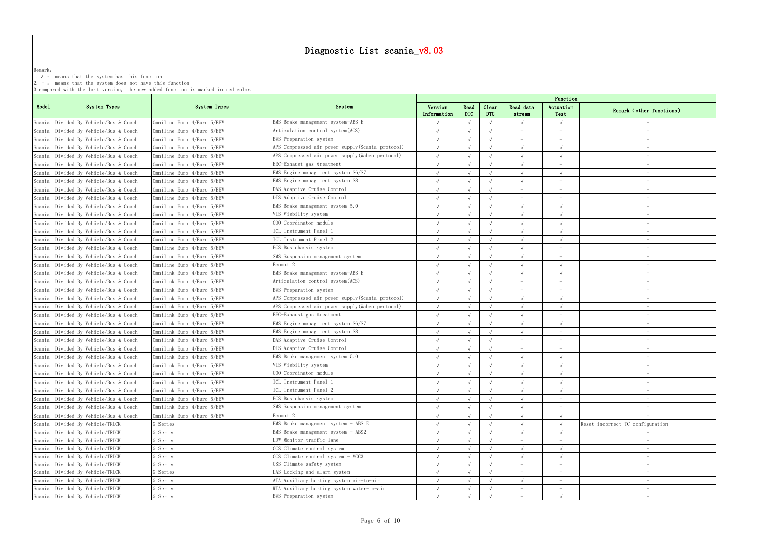# Diagnostic List scenic v8.03

|         |                                                                                                                       |                                                                                   | Diagnostic List scania v8.03                      |                        |                    |                     |                     |                                 |                                  |
|---------|-----------------------------------------------------------------------------------------------------------------------|-----------------------------------------------------------------------------------|---------------------------------------------------|------------------------|--------------------|---------------------|---------------------|---------------------------------|----------------------------------|
| Remark: | 1. $\sqrt{ }$ : means that the system has this function<br>2. $-$ : means that the system does not have this function | 3. compared with the last version, the new added function is marked in red color. |                                                   |                        |                    |                     |                     |                                 |                                  |
|         |                                                                                                                       |                                                                                   |                                                   |                        |                    |                     |                     | Function                        |                                  |
| Model   | System Types                                                                                                          | System Types                                                                      | System                                            | Version<br>Information | Read<br><b>DTC</b> | Clear<br><b>DTC</b> | Read data<br>stream | Actuation<br>Test               | Remark (other functions)         |
| Scania  | Divided By Vehicle/Bus & Coach                                                                                        | Omniline Euro 4/Euro 5/EEV                                                        | BMS Brake management system-ABS E                 |                        |                    |                     |                     |                                 |                                  |
| Scania  | Divided By Vehicle/Bus & Coach                                                                                        | Omniline Euro 4/Euro 5/EEV                                                        | Articulation control system (ACS)                 |                        | $\sqrt{ }$         |                     |                     | $\hspace{0.1mm}-\hspace{0.1mm}$ | $\hspace{0.1mm}-\hspace{0.1mm}$  |
| Scania  | Divided By Vehicle/Bus & Coach                                                                                        | Omniline Euro 4/Euro 5/EEV                                                        | BWS Preparation system                            |                        |                    |                     |                     |                                 |                                  |
| Scania  | Divided By Vehicle/Bus & Coach                                                                                        | Omniline Euro 4/Euro 5/EEV                                                        | APS Compressed air power supply (Scania protocol) |                        |                    |                     |                     |                                 |                                  |
| Scania  | Divided By Vehicle/Bus & Coach                                                                                        | Omniline Euro 4/Euro 5/EEV                                                        | APS Compressed air power supply (Wabco protocol)  |                        |                    |                     |                     |                                 |                                  |
| Scania  | Divided By Vehicle/Bus & Coach                                                                                        | Omniline Euro 4/Euro 5/EEV                                                        | EEC-Exhaust gas treatment                         |                        |                    |                     |                     |                                 |                                  |
| Scania  | Divided By Vehicle/Bus & Coach                                                                                        | Omniline Euro 4/Euro 5/EEV                                                        | EMS Engine management system S6/S7                |                        | $\sqrt{ }$         |                     |                     |                                 | $\hspace{0.1mm}-\hspace{0.1mm}$  |
| Scania  | Divided By Vehicle/Bus & Coach                                                                                        | Omniline Euro 4/Euro 5/EEV                                                        | EMS Engine management system S8                   |                        | $\sqrt{ }$         |                     |                     | $\frac{1}{2}$                   |                                  |
| Scania  | Divided By Vehicle/Bus & Coach                                                                                        | Omniline Euro 4/Euro 5/EEV                                                        | DAS Adaptive Cruise Control                       |                        | $\sqrt{ }$         |                     |                     |                                 |                                  |
|         | Scania Divided By Vehicle/Bus & Coach                                                                                 | Omniline Euro 4/Euro 5/EEV                                                        | DIS Adaptive Cruise Control                       |                        | $\sqrt{ }$         |                     |                     | $\overline{\phantom{a}}$        |                                  |
| Scania  | Divided By Vehicle/Bus & Coach                                                                                        | Omniline Euro 4/Euro 5/EEV                                                        | BMS Brake management system 5.0                   |                        | $\sqrt{ }$         |                     |                     |                                 |                                  |
| Scania  | Divided By Vehicle/Bus & Coach                                                                                        | Omniline Euro 4/Euro 5/EEV                                                        | VIS Visbility system                              |                        | $\sqrt{ }$         |                     |                     |                                 |                                  |
| Scania  | Divided By Vehicle/Bus & Coach                                                                                        | Omniline Euro 4/Euro 5/EEV                                                        | COO Coordinator module                            |                        | $\sqrt{ }$         |                     |                     |                                 | $\hspace{0.1mm}-\hspace{0.1mm}$  |
| Scania  | Divided By Vehicle/Bus & Coach                                                                                        | Omniline Euro 4/Euro 5/EEV                                                        | ICL Instrument Panel 1                            |                        | $\sqrt{ }$         |                     |                     |                                 |                                  |
| Scania  | Divided By Vehicle/Bus & Coach                                                                                        | Omniline Euro 4/Euro 5/EEV                                                        | ICL Instrument Panel 2                            |                        | $\sqrt{ }$         |                     |                     |                                 |                                  |
| Scania  | Divided By Vehicle/Bus & Coach                                                                                        | Omniline Euro 4/Euro 5/EEV                                                        | BCS Bus chassis system                            |                        | $\sqrt{ }$         |                     |                     | $\overline{\phantom{m}}$        |                                  |
| Scania  | Divided By Vehicle/Bus & Coach                                                                                        | Omniline Euro 4/Euro 5/EEV                                                        | SMS Suspension management system                  |                        | $\sqrt{ }$         |                     |                     |                                 |                                  |
|         | Divided By Vehicle/Bus & Coach                                                                                        | Omniline Euro 4/Euro 5/EEV                                                        | Ecomat 2                                          |                        | $\sqrt{ }$         |                     |                     |                                 |                                  |
| Scania  |                                                                                                                       |                                                                                   |                                                   |                        | $\sqrt{ }$         |                     |                     |                                 |                                  |
| Scania  | Divided By Vehicle/Bus & Coach                                                                                        | Omnilink Euro 4/Euro 5/EEV                                                        | BMS Brake management system-ABS E                 |                        |                    |                     |                     |                                 |                                  |
| Scania  | Divided By Vehicle/Bus & Coach                                                                                        | Omnilink Euro 4/Euro 5/EEV                                                        | Articulation control system (ACS)                 |                        | $\sqrt{ }$         |                     |                     |                                 |                                  |
|         | Scania Divided By Vehicle/Bus & Coach                                                                                 | Omnilink Euro 4/Euro 5/EEV                                                        | BWS Preparation system                            |                        | $\sqrt{ }$         |                     |                     |                                 |                                  |
| Scania  | Divided By Vehicle/Bus & Coach                                                                                        | Omnilink Euro 4/Euro 5/EEV                                                        | APS Compressed air power supply (Scania protocol) |                        |                    |                     |                     |                                 |                                  |
| Scania  | Divided By Vehicle/Bus & Coach                                                                                        | Omnilink Euro 4/Euro 5/EEV                                                        | APS Compressed air power supply (Wabco protocol)  |                        |                    |                     |                     |                                 |                                  |
| Scania  | Divided By Vehicle/Bus & Coach                                                                                        | Omnilink Euro 4/Euro 5/EEV                                                        | EEC-Exhaust gas treatment                         |                        | $\sqrt{ }$         |                     |                     | $\hspace{0.1mm}-\hspace{0.1mm}$ | $\hspace{0.1mm}-\hspace{0.1mm}$  |
| Scania  | Divided By Vehicle/Bus & Coach                                                                                        | Omnilink Euro 4/Euro 5/EEV                                                        | EMS Engine management system S6/S7                |                        | $\sqrt{ }$         |                     |                     |                                 |                                  |
|         | Scania Divided By Vehicle/Bus & Coach                                                                                 | Omnilink Euro 4/Euro 5/EEV                                                        | EMS Engine management system S8                   |                        |                    |                     |                     |                                 |                                  |
|         | Scania Divided By Vehicle/Bus & Coach                                                                                 | Omnilink Euro 4/Euro 5/EEV                                                        | DAS Adaptive Cruise Control                       |                        | $\sqrt{ }$         |                     |                     |                                 |                                  |
|         | Scania Divided By Vehicle/Bus & Coach                                                                                 | Omnilink Euro 4/Euro 5/EEV                                                        | DIS Adaptive Cruise Control                       |                        |                    |                     |                     |                                 |                                  |
|         | Scania Divided By Vehicle/Bus & Coach                                                                                 | Omnilink Euro 4/Euro 5/EEV                                                        | BMS Brake management system 5.0                   |                        | $\sqrt{ }$         |                     |                     |                                 | $\hspace{0.1mm}-\hspace{0.1mm}$  |
|         | Scania Divided By Vehicle/Bus & Coach                                                                                 | Omnilink Euro 4/Euro 5/EEV                                                        | VIS Visbility system                              |                        | $\sqrt{ }$         |                     |                     |                                 | $\hspace{0.1mm}-\hspace{0.1mm}$  |
|         | Scania Divided By Vehicle/Bus & Coach                                                                                 | Omnilink Euro 4/Euro 5/EEV                                                        | COO Coordinator module                            |                        | $\sqrt{ }$         |                     |                     | $\sqrt{ }$                      |                                  |
|         | Scania Divided By Vehicle/Bus & Coach                                                                                 | Omnilink Euro 4/Euro 5/EEV                                                        | ICL Instrument Panel 1                            |                        | $\sqrt{ }$         |                     |                     | $\sqrt{ }$                      |                                  |
|         | Scania Divided By Vehicle/Bus & Coach                                                                                 | Omnilink Euro 4/Euro 5/EEV                                                        | ICL Instrument Panel 2                            |                        | $\sqrt{ }$         |                     |                     |                                 |                                  |
| Scania  | Divided By Vehicle/Bus & Coach                                                                                        | Omnilink Euro 4/Euro 5/EEV                                                        | BCS Bus chassis system                            |                        | $\sqrt{ }$         |                     |                     |                                 | $\hspace{0.1mm}-\hspace{0.1mm}$  |
|         | Scania Divided By Vehicle/Bus & Coach                                                                                 | Omnilink Euro 4/Euro 5/EEV                                                        | SMS Suspension management system                  |                        | $\sqrt{ }$         |                     |                     | $\hspace{0.1mm}-\hspace{0.1mm}$ | $\hspace{0.1mm}$                 |
|         | Scania Divided By Vehicle/Bus & Coach                                                                                 | Omnilink Euro 4/Euro 5/EEV                                                        | Ecomat 2                                          |                        | $\sqrt{ }$         |                     |                     |                                 |                                  |
|         | Scania Divided By Vehicle/TRUCK                                                                                       | G Series                                                                          | BMS Brake management system - ABS E               |                        | $\sqrt{ }$         |                     |                     |                                 | Reset incorrect TC configuration |
|         | Scania Divided By Vehicle/TRUCK                                                                                       | G Series                                                                          | BMS Brake management system - ABS2                |                        | $\sqrt{ }$         |                     |                     |                                 |                                  |
| Scania  | Divided By Vehicle/TRUCK                                                                                              | G Series                                                                          | LDW Monitor traffic lane                          |                        | $\sqrt{ }$         |                     |                     |                                 |                                  |
| Scania  | Divided By Vehicle/TRUCK                                                                                              | Geries                                                                            | CCS Climate control system                        |                        | $\sqrt{ }$         |                     |                     |                                 |                                  |
| Scania  | Divided By Vehicle/TRUCK                                                                                              | G Series                                                                          | CCS Climate control system - MCC3                 |                        | $\sqrt{ }$         |                     |                     |                                 | $\hspace{0.1mm}-\hspace{0.1mm}$  |
| Scania  | Divided By Vehicle/TRUCK                                                                                              | G Series                                                                          | CSS Climate safety system                         |                        | $\sqrt{ }$         |                     |                     | $\overline{\phantom{m}}$        | $\hspace{0.1mm}-\hspace{0.1mm}$  |
|         | Scania Divided By Vehicle/TRUCK                                                                                       | G Series                                                                          | LAS Locking and alarm system                      |                        | $\sqrt{ }$         |                     |                     | $\hspace{0.1mm}-\hspace{0.1mm}$ | $\hspace{0.1mm}-\hspace{0.1mm}$  |
|         | Scania Divided By Vehicle/TRUCK                                                                                       | G Series                                                                          | ATA Auxiliary heating system air-to-air           |                        | $\sqrt{ }$         |                     |                     | $\sim$                          | $\hspace{0.1mm}-\hspace{0.1mm}$  |
|         | Scania Divided By Vehicle/TRUCK                                                                                       | G Series                                                                          | WTA Auxiliary heating system water-to-air         |                        | $\sqrt{ }$         |                     |                     | $\hspace{0.1mm}-\hspace{0.1mm}$ | $-$                              |
|         | Scania Divided By Vehicle/TRUCK                                                                                       | G Series                                                                          | BWS Preparation system                            |                        | $\sqrt{ }$         | $\sqrt{ }$          |                     | $\sqrt{ }$                      | $\hspace{0.1mm}-\hspace{0.1mm}$  |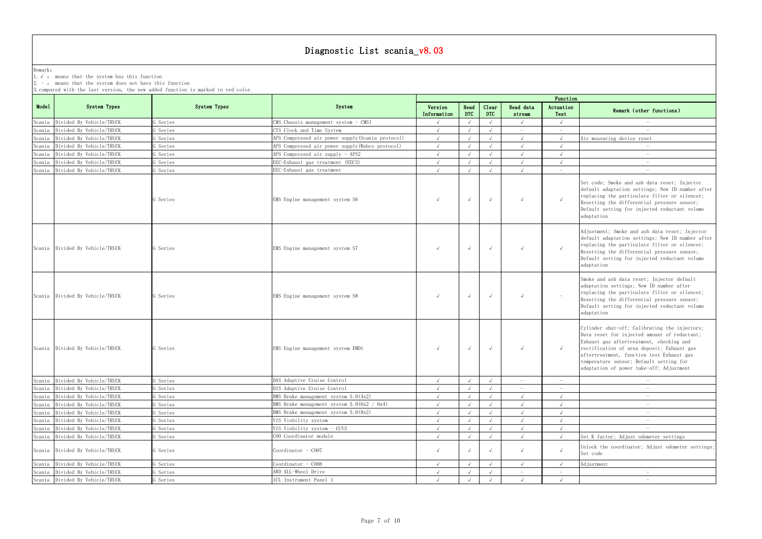Remark: The contract of the contract of  $\mathbb{R}$  and  $\mathbb{R}$  are contract of  $\mathbb{R}$  and  $\mathbb{R}$  are contract of  $\mathbb{R}$  and  $\mathbb{R}$  are contract of  $\mathbb{R}$  and  $\mathbb{R}$  are contract of  $\mathbb{R}$  and  $\mathbb{R}$  are cont

1.√ : means that the system has this function

2. - : means that the system does not have this function

| Function<br>Actuation<br>Test         | Remark (other functions)                                                                                                                                                                                                                                                                                                    |
|---------------------------------------|-----------------------------------------------------------------------------------------------------------------------------------------------------------------------------------------------------------------------------------------------------------------------------------------------------------------------------|
| $\sqrt{}$                             |                                                                                                                                                                                                                                                                                                                             |
|                                       |                                                                                                                                                                                                                                                                                                                             |
| $\sqrt{}$                             | Air measuring device reset                                                                                                                                                                                                                                                                                                  |
| $\sqrt{}$                             |                                                                                                                                                                                                                                                                                                                             |
| $\sqrt{}$                             |                                                                                                                                                                                                                                                                                                                             |
| $\sqrt{}$                             |                                                                                                                                                                                                                                                                                                                             |
| $\overline{\phantom{0}}$<br>$\sqrt{}$ | $\frac{1}{2}$<br>Set code; Smoke and ash data reset; Injector<br>default adaptation settings; New ID number after<br>replacing the particulate filter or silencer;<br>Resetting the differential pressure sensor;<br>Default setting for injected reductant volume<br>adaptation                                            |
|                                       | Adjustment; Smoke and ash data reset; Injector<br>default adaptation settings; New ID number after<br>replacing the particulate filter or silencer;<br>Resetting the differential pressure sensor;<br>Default setting for injected reductant volume<br>adaptation                                                           |
|                                       | Smoke and ash data reset; Injector default<br>adaptation settings; New ID number after<br>replacing the particulate filter or silencer;<br>Resetting the differential pressure sensor;<br>Default setting for injected reductant volume<br>adaptation                                                                       |
| $\sqrt{}$                             | Cylinder shut-off; Calibrating the injectors;<br>Data reset for injected amount of reductant;<br>Exhaust gas aftertreatment, checking and<br>rectification of urea deposit; Exhaust gas<br>aftertreatment, function test Exhaust gas<br>temperature sensor; Default setting for<br>adaptation of power take-off; Adjustment |
| $\overline{\phantom{0}}$              |                                                                                                                                                                                                                                                                                                                             |
|                                       |                                                                                                                                                                                                                                                                                                                             |
| $\sqrt{ }$                            |                                                                                                                                                                                                                                                                                                                             |
| $\sqrt{}$                             | $\overline{\phantom{0}}$                                                                                                                                                                                                                                                                                                    |
| $\sqrt{}$                             |                                                                                                                                                                                                                                                                                                                             |
| $\sqrt{}$                             |                                                                                                                                                                                                                                                                                                                             |
| $\sqrt{ }$                            |                                                                                                                                                                                                                                                                                                                             |
| $\sqrt{ }$                            | Set K factor; Adjust odometer settings                                                                                                                                                                                                                                                                                      |
| $\checkmark$                          | Unlock the coordinator; Adjust odometer settings;<br>Set code                                                                                                                                                                                                                                                               |
| $\sqrt{ }$                            | Adjustment                                                                                                                                                                                                                                                                                                                  |
|                                       |                                                                                                                                                                                                                                                                                                                             |
| $\sqrt{}$                             |                                                                                                                                                                                                                                                                                                                             |
|                                       |                                                                                                                                                                                                                                                                                                                             |

|        |                                 |              |                                                  |                        |                    |                     |                     | Function                 |                                                                                                                                                                                                                                                                                                                             |
|--------|---------------------------------|--------------|--------------------------------------------------|------------------------|--------------------|---------------------|---------------------|--------------------------|-----------------------------------------------------------------------------------------------------------------------------------------------------------------------------------------------------------------------------------------------------------------------------------------------------------------------------|
| Mode1  | System Types                    | System Types | System                                           | Version<br>Information | Read<br><b>DTC</b> | Clear<br><b>DTC</b> | Read data<br>stream | Actuation<br>Test        | Remark (other functions)                                                                                                                                                                                                                                                                                                    |
|        | Scania Divided By Vehicle/TRUCK | G Series     | CMS Chassis management system - CMS1             |                        | $\sqrt{ }$         | $\sqrt{ }$          | $\sqrt{ }$          | $\sqrt{ }$               |                                                                                                                                                                                                                                                                                                                             |
| Scania | Divided By Vehicle/TRUCK        | G Series     | CTS Clock and Time System                        | $\sqrt{ }$             |                    |                     |                     |                          |                                                                                                                                                                                                                                                                                                                             |
| Scania | Divided By Vehicle/TRUCK        | G Series     | APS Compressed air power supply(Scania protocol) | $\sqrt{ }$             |                    | $\sqrt{ }$          | $\sqrt{ }$          | $\sqrt{ }$               | Air measuring device reset                                                                                                                                                                                                                                                                                                  |
| Scania | Divided By Vehicle/TRUCK        | G Series     | APS Compressed air power supply (Wabco protocol) |                        |                    | $\sqrt{ }$          |                     |                          |                                                                                                                                                                                                                                                                                                                             |
| Scania | Divided By Vehicle/TRUCK        | G Series     | APS Compressed air supply - APS2                 |                        |                    | $\sqrt{ }$          | $\sqrt{ }$          | $\sqrt{ }$               | $\hspace{0.1mm}-\hspace{0.1mm}$                                                                                                                                                                                                                                                                                             |
| Scania | Divided By Vehicle/TRUCK        | G Series     | EEC-Exhaust gas treatment (EEC3)                 | $\sqrt{ }$             |                    | $\sqrt{ }$          | $\sqrt{ }$          | $\sqrt{ }$               |                                                                                                                                                                                                                                                                                                                             |
|        | Scania Divided By Vehicle/TRUCK | G Series     | EEC-Exhaust gas treatment                        |                        |                    |                     |                     | $\sim$                   | $\hspace{0.1mm}-\hspace{0.1mm}$                                                                                                                                                                                                                                                                                             |
|        |                                 | G Series     | EMS Engine management system S6                  | $\sqrt{ }$             | $\sqrt{ }$         | $\sqrt{ }$          | $\sqrt{ }$          | $\sqrt{ }$               | Set code: Smoke and ash data reset: Injector<br>default adaptation settings; New ID number after<br>replacing the particulate filter or silencer;<br>Resetting the differential pressure sensor;<br>Default setting for injected reductant volume<br>adaptation                                                             |
|        | Scania Divided By Vehicle/TRUCK | G Series     | EMS Engine management system S7                  | $\sqrt{ }$             | $\sqrt{ }$         | $\sqrt{ }$          | $\sqrt{ }$          | $\sqrt{ }$               | Adjustment; Smoke and ash data reset; Injector<br>default adaptation settings; New ID number after<br>replacing the particulate filter or silencer;<br>Resetting the differential pressure sensor;<br>Default setting for injected reductant volume<br>adaptation                                                           |
|        | Scania Divided By Vehicle/TRUCK | G Series     | EMS Engine management system S8                  | $\sqrt{ }$             | $\sqrt{ }$         | $\sqrt{ }$          | $\sqrt{ }$          | $\overline{\phantom{m}}$ | Smoke and ash data reset; Injector default<br>adaptation settings; New ID number after<br>replacing the particulate filter or silencer;<br>Resetting the differential pressure sensor;<br>Default setting for injected reductant volume<br>adaptation                                                                       |
|        | Scania Divided By Vehicle/TRUCK | G Series     | EMS Engine management system EMD1                | $\sqrt{ }$             | $\sqrt{ }$         | $\sqrt{ }$          | $\sqrt{ }$          | $\sqrt{ }$               | Cylinder shut-off; Calibrating the injectors;<br>Data reset for injected amount of reductant;<br>Exhaust gas aftertreatment, checking and<br>rectification of urea deposit; Exhaust gas<br>aftertreatment, function test Exhaust gas<br>temperature sensor; Default setting for<br>adaptation of power take-off; Adjustment |
|        | Scania Divided By Vehicle/TRUCK | G Series     | DAS Adaptive Cruise Control                      |                        | $\sqrt{ }$         | $\sqrt{ }$          |                     |                          |                                                                                                                                                                                                                                                                                                                             |
| Scania | Divided By Vehicle/TRUCK        | G Series     | DIS Adaptive Cruise Control                      |                        | $\sqrt{ }$         | $\sqrt{ }$          |                     |                          | $\hspace{0.1mm}-\hspace{0.1mm}$                                                                                                                                                                                                                                                                                             |
| Scania | Divided By Vehicle/TRUCK        | G Series     | BMS Brake management system $5.0(4x2)$           | $\sqrt{ }$             |                    | $\sqrt{ }$          | $\sqrt{ }$          | $\sqrt{ }$               | $\hspace{0.1mm}-\hspace{0.1mm}$                                                                                                                                                                                                                                                                                             |
|        | Scania Divided By Vehicle/TRUCK | G Series     | BMS Brake management system $5.0(6x2 / 6x4)$     |                        |                    | $\sqrt{ }$          |                     |                          | $\hspace{0.1mm}-\hspace{0.1mm}$                                                                                                                                                                                                                                                                                             |
| Scania | Divided By Vehicle/TRUCK        | G Series     | BMS Brake management system $5.0(8x2)$           | $\sqrt{ }$             |                    | $\sqrt{ }$          | $\sqrt{ }$          | $\sqrt{ }$               | $\hspace{0.1mm}-\hspace{0.1mm}$                                                                                                                                                                                                                                                                                             |
| Scania | Divided By Vehicle/TRUCK        | G Series     | VIS Visbility system                             |                        |                    |                     | $\sqrt{ }$          | $\sqrt{ }$               | $\hspace{0.1mm}-\hspace{0.1mm}$                                                                                                                                                                                                                                                                                             |
|        | Scania Divided By Vehicle/TRUCK | G Series     | VIS Visbility system - CUV3                      |                        |                    |                     |                     |                          |                                                                                                                                                                                                                                                                                                                             |
|        | Scania Divided By Vehicle/TRUCK | G Series     | COO Coordinator module                           |                        |                    |                     |                     | $\sqrt{ }$               | Set K factor; Adjust odometer settings                                                                                                                                                                                                                                                                                      |
|        | Scania Divided By Vehicle/TRUCK | G Series     | Coordinator - COO7                               | $\sqrt{ }$             |                    | $\sqrt{ }$          | $\sqrt{ }$          | $\sqrt{ }$               | Unlock the coordinator; Adjust odometer settings;<br>Set code                                                                                                                                                                                                                                                               |
|        | Scania Divided By Vehicle/TRUCK | G Series     | $Coordinator - CO08$                             | $\sqrt{ }$             | $\sqrt{ }$         | $\sqrt{ }$          | $\sqrt{ }$          |                          | Adjustment                                                                                                                                                                                                                                                                                                                  |
|        | Scania Divided By Vehicle/TRUCK | G Series     | AWD ALL-Wheel Drive                              |                        |                    |                     |                     |                          |                                                                                                                                                                                                                                                                                                                             |
|        | Scania Divided By Vehicle/TRUCK | G Series     | ICL Instrument Panel 1                           |                        |                    |                     |                     |                          |                                                                                                                                                                                                                                                                                                                             |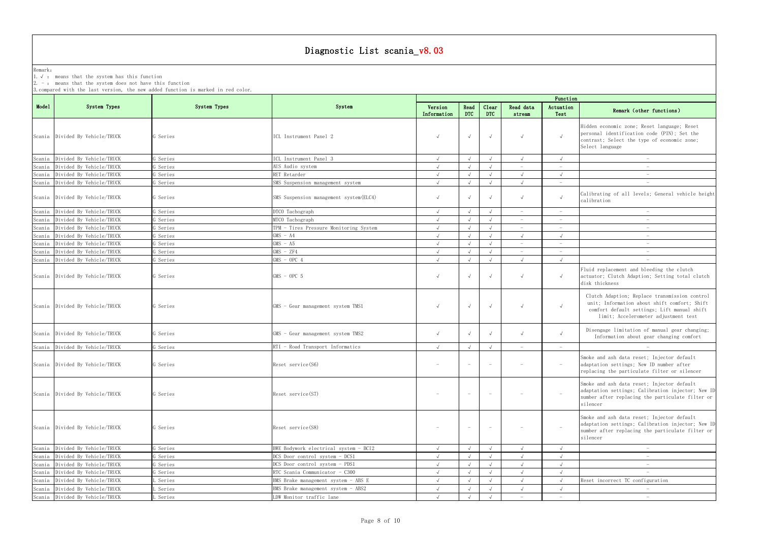Remark: The contract of the contract of  $\mathbb{R}$  and  $\mathbb{R}$  are contract of  $\mathbb{R}$  and  $\mathbb{R}$  are contract of  $\mathbb{R}$  and  $\mathbb{R}$  are contract of  $\mathbb{R}$  and  $\mathbb{R}$  are contract of  $\mathbb{R}$  and  $\mathbb{R}$  are cont 1.√ : means that the system has this function

2. - : means that the system does not have this function

| Function                 |                                                                                                                                                                                      |
|--------------------------|--------------------------------------------------------------------------------------------------------------------------------------------------------------------------------------|
| Actuation<br>Test        | Remark (other functions)                                                                                                                                                             |
| $\checkmark$             | Hidden economic zone; Reset language; Reset<br>personal identification code (PIN); Set the<br>contrast; Select the type of economic zone;<br>Select language                         |
| $\sqrt{ }$               | $\overline{\phantom{0}}$                                                                                                                                                             |
| $\qquad \qquad -$        | $\equiv$                                                                                                                                                                             |
| $\sqrt{}$                | $\bar{ }$                                                                                                                                                                            |
|                          |                                                                                                                                                                                      |
| √                        | Calibrating of all levels; General vehicle height<br>calibration                                                                                                                     |
|                          |                                                                                                                                                                                      |
|                          |                                                                                                                                                                                      |
| $\overline{\phantom{0}}$ |                                                                                                                                                                                      |
| $\sqrt{ }$               | $\qquad \qquad -$                                                                                                                                                                    |
| $\overline{a}$           | $\overline{\phantom{0}}$                                                                                                                                                             |
|                          |                                                                                                                                                                                      |
| $\sqrt{}$                |                                                                                                                                                                                      |
|                          | Fluid replacement and bleeding the clutch<br>actuator; Clutch Adaption; Setting total clutch<br>disk thickness                                                                       |
| $\sqrt{}$                | Clutch Adaption; Replace transmission control<br>unit; Information about shift comfort; Shift<br>comfort default settings; Lift manual shift<br>limit; Accelerometer adjustment test |
|                          | Disengage limitation of manual gear changing;<br>Information about gear changing comfort                                                                                             |
| $\overline{\phantom{0}}$ |                                                                                                                                                                                      |
|                          | Smoke and ash data reset; Injector default<br>adaptation settings; New ID number after<br>replacing the particulate filter or silencer                                               |
|                          | Smoke and ash data reset; Injector default<br>adaptation settings; Calibration injector; New ID<br>number after replacing the particulate filter or<br>silencer                      |
|                          | Smoke and ash data reset; Injector default<br>adaptation settings; Calibration injector; New ID<br>number after replacing the particulate filter or<br>silencer                      |
| $\sqrt{ }$               |                                                                                                                                                                                      |
| $\sqrt{}$                |                                                                                                                                                                                      |
| $\sqrt{2}$               |                                                                                                                                                                                      |
| $\sqrt{ }$               |                                                                                                                                                                                      |
| $\sqrt{}$                | Reset incorrect TC configuration                                                                                                                                                     |
| $\sqrt{ }$               |                                                                                                                                                                                      |
| $\overline{\phantom{0}}$ |                                                                                                                                                                                      |
|                          |                                                                                                                                                                                      |

|        |                                 |              |                                         |                                 |                          |                                 |                                 | Function                        |                                                                                                                                                                                      |
|--------|---------------------------------|--------------|-----------------------------------------|---------------------------------|--------------------------|---------------------------------|---------------------------------|---------------------------------|--------------------------------------------------------------------------------------------------------------------------------------------------------------------------------------|
| Mode1  | System Types                    | System Types | System                                  | Version<br>Information          | Read<br><b>DTC</b>       | Clear<br><b>DTC</b>             | Read data<br>stream             | Actuation<br>Test               | Remark (other functions)                                                                                                                                                             |
|        | Scania Divided By Vehicle/TRUCK | G Series     | ICL Instrument Panel 2                  | $\sqrt{ }$                      | $\sqrt{ }$               | $\sqrt{ }$                      | $\sqrt{ }$                      |                                 | Hidden economic zone; Reset language; Reset<br>personal identification code (PIN); Set the<br>contrast; Select the type of economic zone;<br>Select language                         |
| Scania | Divided By Vehicle/TRUCK        | G Series     | ICL Instrument Panel 3                  | $\sqrt{ }$                      |                          | $\sqrt{ }$                      |                                 |                                 | $\sim$                                                                                                                                                                               |
|        | Scania Divided By Vehicle/TRUCK | G Series     | AUS Audio system                        | $\sqrt{ }$                      |                          | $\sqrt{ }$                      |                                 |                                 | $\hspace{0.1mm}-\hspace{0.1mm}$                                                                                                                                                      |
|        | Scania Divided By Vehicle/TRUCK | G Series     | RET Retarder                            | $\sqrt{ }$                      |                          | $\sqrt{ }$                      | $\sqrt{ }$                      | $\sqrt{ }$                      | $\hspace{0.1mm}-\hspace{0.1mm}$                                                                                                                                                      |
|        | Scania Divided By Vehicle/TRUCK | G Series     | SMS Suspension management system        | $\sqrt{ }$                      |                          | $\sqrt{ }$                      | $\sqrt{ }$                      | $\sim$                          | $\overline{\phantom{a}}$                                                                                                                                                             |
|        | Scania Divided By Vehicle/TRUCK | G Series     | SMS Suspension management system (ELC4) | $\sqrt{ }$                      |                          | $\sqrt{ }$                      | $\sqrt{ }$                      |                                 | Calibrating of all levels; General vehicle height<br>calibration                                                                                                                     |
| Scania | Divided By Vehicle/TRUCK        | G Series     | DTCO Tachograph                         | $\sqrt{ }$                      | $\sqrt{ }$               | $\sqrt{ }$                      |                                 |                                 |                                                                                                                                                                                      |
| Scania | Divided By Vehicle/TRUCK        | Series       | MTCO Tachograph                         |                                 |                          | $\sqrt{ }$                      |                                 |                                 |                                                                                                                                                                                      |
| Scania | Divided By Vehicle/TRUCK        | G Series     | TPM - Tires Pressure Monitoring System  |                                 |                          | $\sqrt{ }$                      |                                 |                                 | $\overline{\phantom{a}}$                                                                                                                                                             |
| Scania | Divided By Vehicle/TRUCK        | G Series     | $GMS - A4$                              | $\sqrt{ }$                      |                          | $\sqrt{ }$                      | $\sqrt{ }$                      | $\sqrt{ }$                      | $\hspace{0.1mm}-\hspace{0.1mm}$                                                                                                                                                      |
|        | Scania Divided By Vehicle/TRUCK | G Series     | $GMS - A5$                              | $\sqrt{ }$                      |                          | $\sqrt{ }$                      | $\overline{\phantom{a}}$        | $\hspace{0.1mm}-\hspace{0.1mm}$ | $\hspace{0.1mm}$                                                                                                                                                                     |
| Scania | Divided By Vehicle/TRUCK        | G Series     | $GMS - ZF4$                             | $\sqrt{ }$                      |                          | $\sqrt{ }$                      |                                 |                                 | $\overline{\phantom{a}}$                                                                                                                                                             |
|        | Scania Divided By Vehicle/TRUCK | G Series     | $GMS - OPC 4$                           | $\sqrt{ }$                      |                          | $\sqrt{ }$                      | $\sqrt{ }$                      | $\sqrt{ }$                      | $\hspace{0.1mm}-\hspace{0.1mm}$                                                                                                                                                      |
|        | Scania Divided By Vehicle/TRUCK | G Series     | $GMS - OPC 5$                           | $\sqrt{ }$                      |                          | $\sqrt{ }$                      | $\sqrt{ }$                      | $\sqrt{ }$                      | Fluid replacement and bleeding the clutch<br>actuator; Clutch Adaption; Setting total clutch<br>disk thickness                                                                       |
|        | Scania Divided By Vehicle/TRUCK | G Series     | GMS - Gear management system TMS1       | $\sqrt{ }$                      | $\sqrt{ }$               | $\sqrt{ }$                      | $\sqrt{ }$                      |                                 | Clutch Adaption; Replace transmission control<br>unit; Information about shift comfort; Shift<br>comfort default settings; Lift manual shift<br>limit; Accelerometer adjustment test |
|        | Scania Divided By Vehicle/TRUCK | G Series     | GMS - Gear management system TMS2       | $\sqrt{ }$                      |                          | $\sqrt{ }$                      | $\sqrt{ }$                      |                                 | Disengage limitation of manual gear changing;<br>Information about gear changing comfort                                                                                             |
|        | Scania Divided By Vehicle/TRUCK | G Series     | RTI - Road Transport Informatics        | $\sqrt{ }$                      | $\sqrt{ }$               | $\sqrt{ }$                      | $\hspace{0.1mm}-\hspace{0.1mm}$ | $\sim$                          |                                                                                                                                                                                      |
|        | Scania Divided By Vehicle/TRUCK | G Series     | Reset service (S6)                      | $\hspace{0.1mm}-\hspace{0.1mm}$ | $\overline{\phantom{m}}$ | $\overline{\phantom{a}}$        | $\hspace{0.1mm}-\hspace{0.1mm}$ | $\overline{\phantom{a}}$        | Smoke and ash data reset; Injector default<br>adaptation settings; New ID number after<br>replacing the particulate filter or silencer                                               |
|        | Scania Divided By Vehicle/TRUCK | G Series     | Reset service (S7)                      |                                 |                          | $\hspace{0.1mm}-\hspace{0.1mm}$ |                                 |                                 | Smoke and ash data reset; Injector default<br>adaptation settings; Calibration injector; New ID<br>number after replacing the particulate filter or<br>silencer                      |
|        | Scania Divided By Vehicle/TRUCK | G Series     | Reset service (S8)                      |                                 |                          | $\overline{\phantom{a}}$        |                                 |                                 | Smoke and ash data reset; Injector default<br>adaptation settings; Calibration injector; New ID<br>number after replacing the particulate filter or<br>silencer                      |
|        | Scania Divided By Vehicle/TRUCK | G Series     | BWE Bodywork electrical system - BCI2   | $\sqrt{ }$                      | $\sqrt{ }$               | $\sqrt{ }$                      | $\sqrt{ }$                      | $\sqrt{ }$                      | $\hspace{0.1mm}-\hspace{0.1mm}$                                                                                                                                                      |
|        | Scania Divided By Vehicle/TRUCK | G Series     | DCS Door control system - DCS1          |                                 |                          | $\sqrt{ }$                      |                                 | $\sqrt{ }$                      |                                                                                                                                                                                      |
|        | Scania Divided By Vehicle/TRUCK | G Series     | DCS Door control system - PDS1          | $\sqrt{ }$                      |                          | $\sqrt{ }$                      | $\sqrt{ }$                      | $\sqrt{ }$                      | $\overline{\phantom{m}}$                                                                                                                                                             |
|        | Scania Divided By Vehicle/TRUCK | G Series     | RTC Scania Communicator - C300          | $\sqrt{ }$                      |                          | $\sqrt{ }$                      | $\sqrt{ }$                      | $\sqrt{ }$                      |                                                                                                                                                                                      |
|        | Scania Divided By Vehicle/TRUCK | Series       | BMS Brake management system - ABS E     |                                 |                          | $\sqrt{ }$                      | $\sqrt{ }$                      |                                 | Reset incorrect TC configuration                                                                                                                                                     |
|        | Scania Divided By Vehicle/TRUCK | Series       | BMS Brake management system - ABS2      |                                 |                          | $\sqrt{ }$                      |                                 | $\sqrt{ }$                      | $\overline{\phantom{a}}$                                                                                                                                                             |
|        | Scania Divided By Vehicle/TRUCK | L Series     | LDW Monitor traffic lane                | $\sqrt{ }$                      |                          |                                 |                                 |                                 | $\hspace{0.1mm}-\hspace{0.1mm}$                                                                                                                                                      |
|        |                                 |              |                                         |                                 |                          |                                 |                                 |                                 |                                                                                                                                                                                      |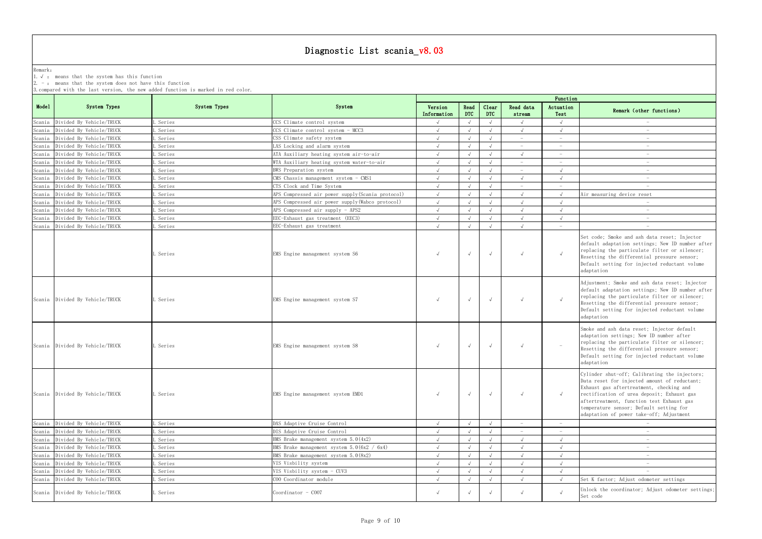Remark: The contract of the contract of  $\mathbb{R}$  and  $\mathbb{R}$  are contract of  $\mathbb{R}$  and  $\mathbb{R}$  are contract of  $\mathbb{R}$  and  $\mathbb{R}$  are contract of  $\mathbb{R}$  and  $\mathbb{R}$  are contract of  $\mathbb{R}$  and  $\mathbb{R}$  are cont

1.√ : means that the system has this function

2. - : means that the system does not have this function

| Function                 |                                                                                                                                                                                                                                                                                                                             |
|--------------------------|-----------------------------------------------------------------------------------------------------------------------------------------------------------------------------------------------------------------------------------------------------------------------------------------------------------------------------|
| Actuation<br>Test        | Remark (other functions)                                                                                                                                                                                                                                                                                                    |
| $\sqrt{2}$               |                                                                                                                                                                                                                                                                                                                             |
| $\sqrt{}$                |                                                                                                                                                                                                                                                                                                                             |
|                          |                                                                                                                                                                                                                                                                                                                             |
| $\qquad \qquad -$        |                                                                                                                                                                                                                                                                                                                             |
| $\overline{\phantom{0}}$ |                                                                                                                                                                                                                                                                                                                             |
| $\qquad \qquad -$        | $\equiv$                                                                                                                                                                                                                                                                                                                    |
| $\sqrt{}$                |                                                                                                                                                                                                                                                                                                                             |
| $\sqrt{}$                |                                                                                                                                                                                                                                                                                                                             |
| $\sqrt{ }$               | Air measuring device reset                                                                                                                                                                                                                                                                                                  |
| $\sqrt{}$                |                                                                                                                                                                                                                                                                                                                             |
| $\sqrt{2}$               |                                                                                                                                                                                                                                                                                                                             |
| $\sqrt{}$                |                                                                                                                                                                                                                                                                                                                             |
|                          |                                                                                                                                                                                                                                                                                                                             |
| $\checkmark$             | Set code; Smoke and ash data reset; Injector<br>default adaptation settings; New ID number after<br>replacing the particulate filter or silencer;<br>Resetting the differential pressure sensor;<br>Default setting for injected reductant volume<br>adaptation                                                             |
| √                        | Adjustment; Smoke and ash data reset; Injector<br>default adaptation settings; New ID number after<br>replacing the particulate filter or silencer;<br>Resetting the differential pressure sensor;<br>Default setting for injected reductant volume<br>adaptation                                                           |
|                          | Smoke and ash data reset; Injector default<br>adaptation settings; New ID number after<br>replacing the particulate filter or silencer;<br>Resetting the differential pressure sensor;<br>Default setting for injected reductant volume<br>adaptation                                                                       |
| $\sqrt{}$                | Cylinder shut-off; Calibrating the injectors;<br>Data reset for injected amount of reductant;<br>Exhaust gas aftertreatment, checking and<br>rectification of urea deposit; Exhaust gas<br>aftertreatment, function test Exhaust gas<br>temperature sensor; Default setting for<br>adaptation of power take-off; Adjustment |
| $\qquad \qquad -$        |                                                                                                                                                                                                                                                                                                                             |
|                          |                                                                                                                                                                                                                                                                                                                             |
| $\sqrt{}$                |                                                                                                                                                                                                                                                                                                                             |
| $\sqrt{ }$               |                                                                                                                                                                                                                                                                                                                             |
| $\sqrt{}$                |                                                                                                                                                                                                                                                                                                                             |
| $\sqrt{}$                |                                                                                                                                                                                                                                                                                                                             |
| $\sqrt{ }$               |                                                                                                                                                                                                                                                                                                                             |
| $\sqrt{}$                | Set K factor; Adjust odometer settings                                                                                                                                                                                                                                                                                      |
| $\checkmark$             | Unlock the coordinator; Adjust odometer settings;<br>Set code                                                                                                                                                                                                                                                               |

|        | System Types                    | System Types | System                                            | Function               |                    |                     |                                 |                                 |                                                                                                                                                                                                                                                                                                                             |  |  |
|--------|---------------------------------|--------------|---------------------------------------------------|------------------------|--------------------|---------------------|---------------------------------|---------------------------------|-----------------------------------------------------------------------------------------------------------------------------------------------------------------------------------------------------------------------------------------------------------------------------------------------------------------------------|--|--|
| Mode1  |                                 |              |                                                   | Version<br>Information | Read<br><b>DTC</b> | Clear<br><b>DTC</b> | Read data<br>stream             | Actuation<br>Test               | Remark (other functions)                                                                                                                                                                                                                                                                                                    |  |  |
|        | Scania Divided By Vehicle/TRUCK | Series       | CCS Climate control system                        |                        |                    | $\sqrt{ }$          | $\sqrt{ }$                      | $\sqrt{ }$                      |                                                                                                                                                                                                                                                                                                                             |  |  |
| Scania | Divided By Vehicle/TRUCK        | Series       | CCS Climate control system - MCC3                 |                        |                    | $\sqrt{ }$          | $\sqrt{ }$                      | $\sqrt{ }$                      |                                                                                                                                                                                                                                                                                                                             |  |  |
| Scania | Divided By Vehicle/TRUCK        | Series       | CSS Climate safety system                         |                        |                    | $\sqrt{ }$          |                                 | $\overline{\phantom{a}}$        |                                                                                                                                                                                                                                                                                                                             |  |  |
| Scania | Divided By Vehicle/TRUCK        | Series       | LAS Locking and alarm system                      |                        |                    | $\sqrt{ }$          |                                 |                                 |                                                                                                                                                                                                                                                                                                                             |  |  |
| Scania | Divided By Vehicle/TRUCK        | Series       | ATA Auxiliary heating system air-to-air           |                        |                    | $\sqrt{ }$          |                                 |                                 |                                                                                                                                                                                                                                                                                                                             |  |  |
| Scania | Divided By Vehicle/TRUCK        | Series       | WTA Auxiliary heating system water-to-air         |                        |                    | $\sqrt{ }$          | $\hspace{0.1mm}-\hspace{0.1mm}$ | $\hspace{0.1mm}-\hspace{0.1mm}$ |                                                                                                                                                                                                                                                                                                                             |  |  |
| Scania | Divided By Vehicle/TRUCK        | Series       | BWS Preparation system                            |                        |                    |                     | $\hspace{0.1mm}-\hspace{0.1mm}$ |                                 | $\hspace{0.1mm}-\hspace{0.1mm}$                                                                                                                                                                                                                                                                                             |  |  |
| Scania | Divided By Vehicle/TRUCK        | Series       | $CMS$ Chassis management system - $CMS1$          | $\sqrt{ }$             |                    | $\sqrt{ }$          | $\sqrt{ }$                      | $\sqrt{ }$                      | $\overline{\phantom{a}}$                                                                                                                                                                                                                                                                                                    |  |  |
| Scania | Divided By Vehicle/TRUCK        | Series       | CTS Clock and Time System                         |                        |                    |                     | $\overline{\phantom{a}}$        | $\overline{\phantom{m}}$        | $\hspace{0.1mm}-\hspace{0.1mm}$                                                                                                                                                                                                                                                                                             |  |  |
| Scania | Divided By Vehicle/TRUCK        | Series       | APS Compressed air power supply (Scania protocol) |                        |                    |                     |                                 |                                 | Air measuring device reset                                                                                                                                                                                                                                                                                                  |  |  |
| Scania | Divided By Vehicle/TRUCK        | Series       | APS Compressed air power supply (Wabco protocol)  |                        |                    |                     |                                 |                                 |                                                                                                                                                                                                                                                                                                                             |  |  |
| Scania | Divided By Vehicle/TRUCK        | Series       | APS Compressed air supply - APS2                  |                        |                    | $\sqrt{ }$          | $\sqrt{ }$                      |                                 |                                                                                                                                                                                                                                                                                                                             |  |  |
| Scania | Divided By Vehicle/TRUCK        | Series       | EEC-Exhaust gas treatment (EEC3)                  |                        |                    | $\sqrt{ }$          |                                 |                                 |                                                                                                                                                                                                                                                                                                                             |  |  |
| Scania | Divided By Vehicle/TRUCK        | Series       | EEC-Exhaust gas treatment                         | $\Lambda$              |                    | $\sqrt{ }$          | $\sqrt{ }$                      | $\overline{\phantom{a}}$        |                                                                                                                                                                                                                                                                                                                             |  |  |
|        |                                 | Series       | EMS Engine management system S6                   | $\sqrt{ }$             | $\sqrt{ }$         | $\sqrt{ }$          | $\sqrt{ }$                      | $\sqrt{ }$                      | Set code; Smoke and ash data reset; Injector<br>default adaptation settings; New ID number after<br>replacing the particulate filter or silencer;<br>Resetting the differential pressure sensor;<br>Default setting for injected reductant volume<br>adaptation                                                             |  |  |
|        | Scania Divided By Vehicle/TRUCK | . Series     | EMS Engine management system S7                   | $\sqrt{ }$             | $\sqrt{ }$         | $\sqrt{ }$          | $\sqrt{ }$                      | $\sqrt{ }$                      | Adjustment; Smoke and ash data reset; Injector<br>default adaptation settings; New ID number after<br>replacing the particulate filter or silencer;<br>Resetting the differential pressure sensor;<br>Default setting for injected reductant volume<br>adaptation                                                           |  |  |
|        | Scania Divided By Vehicle/TRUCK | . Series     | EMS Engine management system S8                   | $\sqrt{ }$             | $\sqrt{ }$         | $\sqrt{ }$          | $\sqrt{ }$                      | $\sim$                          | Smoke and ash data reset; Injector default<br>adaptation settings; New ID number after<br>replacing the particulate filter or silencer;<br>Resetting the differential pressure sensor;<br>Default setting for injected reductant volume<br>adaptation                                                                       |  |  |
|        | Scania Divided By Vehicle/TRUCK | Series       | EMS Engine management system EMD1                 |                        |                    | $\sqrt{ }$          | $\sqrt{ }$                      | $\sqrt{ }$                      | Cylinder shut-off; Calibrating the injectors;<br>Data reset for injected amount of reductant;<br>Exhaust gas aftertreatment, checking and<br>rectification of urea deposit; Exhaust gas<br>aftertreatment, function test Exhaust gas<br>temperature sensor; Default setting for<br>adaptation of power take-off; Adjustment |  |  |
|        | Scania Divided By Vehicle/TRUCK | Series       | DAS Adaptive Cruise Control                       | $\sqrt{ }$             | $\sqrt{ }$         | $\sqrt{ }$          | $\hspace{0.1mm}-\hspace{0.1mm}$ | $\overline{a}$                  | $\hspace{0.1mm}-\hspace{0.1mm}$                                                                                                                                                                                                                                                                                             |  |  |
| Scania | Divided By Vehicle/TRUCK        | Series       | DIS Adaptive Cruise Control                       |                        |                    |                     |                                 | $\hspace{0.1mm}-\hspace{0.1mm}$ | $\hspace{0.1mm}-\hspace{0.1mm}$                                                                                                                                                                                                                                                                                             |  |  |
| Scania | Divided By Vehicle/TRUCK        | Series       | BMS Brake management system $5.0(4x2)$            |                        |                    |                     | $\sqrt{ }$                      | $\sqrt{ }$                      | $\hspace{0.1mm}-\hspace{0.1mm}$                                                                                                                                                                                                                                                                                             |  |  |
|        | Scania Divided By Vehicle/TRUCK | Series       | BMS Brake management system $5.0(6x2 / 6x4)$      |                        |                    |                     |                                 | $\sqrt{ }$                      | $\hspace{0.1mm}-\hspace{0.1mm}$                                                                                                                                                                                                                                                                                             |  |  |
|        | Scania Divided By Vehicle/TRUCK | Series       | BMS Brake management system $5.0(8x2)$            |                        |                    |                     |                                 |                                 |                                                                                                                                                                                                                                                                                                                             |  |  |
|        | Scania Divided By Vehicle/TRUCK | Series       | VIS Visbility system                              |                        |                    |                     |                                 |                                 |                                                                                                                                                                                                                                                                                                                             |  |  |
|        | Scania Divided By Vehicle/TRUCK | Series       | VIS Visbility system - CUV3                       |                        |                    |                     |                                 |                                 |                                                                                                                                                                                                                                                                                                                             |  |  |
|        | Scania Divided By Vehicle/TRUCK | Series       | COO Coordinator module                            |                        |                    | $\sqrt{ }$          | $\sqrt{ }$                      | $\sqrt{ }$                      | Set K factor; Adjust odometer settings                                                                                                                                                                                                                                                                                      |  |  |
|        | Scania Divided By Vehicle/TRUCK | . Series     | Coordinator - COO7                                | $\sqrt{ }$             |                    | $\sqrt{ }$          | $\sqrt{ }$                      | $\sqrt{ }$                      | Unlock the coordinator; Adjust odometer settings;<br>Set code                                                                                                                                                                                                                                                               |  |  |